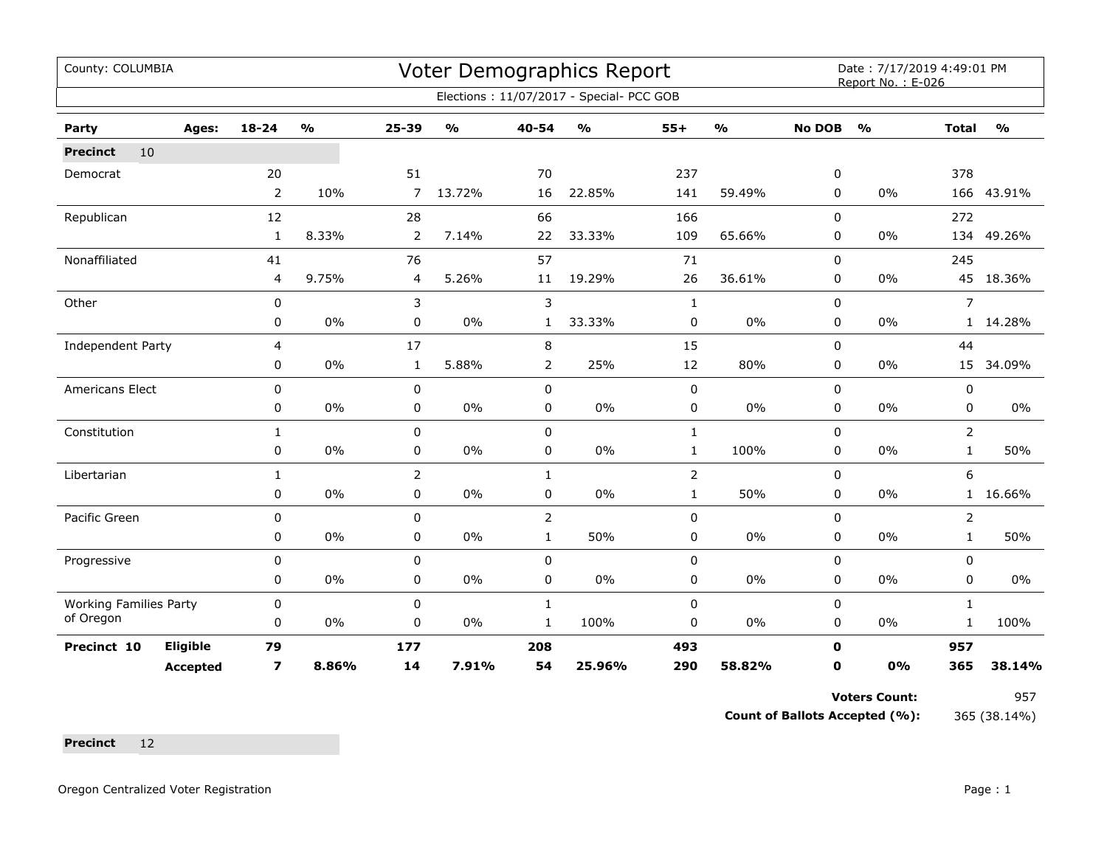| County: COLUMBIA              |                 |                         |                                   |                |               |                | Voter Demographics Report                |                |               |               | Date: 7/17/2019 4:49:01 PM<br>Report No.: E-026 |                |               |
|-------------------------------|-----------------|-------------------------|-----------------------------------|----------------|---------------|----------------|------------------------------------------|----------------|---------------|---------------|-------------------------------------------------|----------------|---------------|
|                               |                 |                         |                                   |                |               |                | Elections: 11/07/2017 - Special- PCC GOB |                |               |               |                                                 |                |               |
| Party                         | Ages:           | $18 - 24$               | $\mathsf{o}\mathsf{v}_\mathsf{o}$ | $25 - 39$      | $\frac{0}{0}$ | 40-54          | $\mathsf{o}\mathsf{v}_\mathsf{o}$        | $55+$          | $\frac{1}{2}$ | <b>No DOB</b> | $\frac{1}{2}$                                   | <b>Total</b>   | $\frac{1}{2}$ |
| 10<br><b>Precinct</b>         |                 |                         |                                   |                |               |                |                                          |                |               |               |                                                 |                |               |
| Democrat                      |                 | 20                      |                                   | 51             |               | 70             |                                          | 237            |               | 0             |                                                 | 378            |               |
|                               |                 | $\overline{2}$          | 10%                               | $\overline{7}$ | 13.72%        | 16             | 22.85%                                   | 141            | 59.49%        | 0             | 0%                                              |                | 166 43.91%    |
| Republican                    |                 | 12                      |                                   | 28             |               | 66             |                                          | 166            |               | $\Omega$      |                                                 | 272            |               |
|                               |                 | $\mathbf{1}$            | 8.33%                             | $\overline{2}$ | 7.14%         | 22             | 33.33%                                   | 109            | 65.66%        | $\Omega$      | 0%                                              | 134            | 49.26%        |
| Nonaffiliated                 |                 | 41                      |                                   | 76             |               | 57             |                                          | 71             |               | $\Omega$      |                                                 | 245            |               |
|                               |                 | 4                       | 9.75%                             | 4              | 5.26%         | 11             | 19.29%                                   | 26             | 36.61%        | 0             | 0%                                              | 45             | 18.36%        |
| Other                         |                 | 0                       |                                   | 3              |               | 3              |                                          | $\mathbf{1}$   |               | 0             |                                                 | 7              |               |
|                               |                 | 0                       | 0%                                | 0              | $0\%$         | $\mathbf{1}$   | 33.33%                                   | 0              | 0%            | 0             | 0%                                              | $\mathbf{1}$   | 14.28%        |
| Independent Party             |                 | $\overline{4}$          |                                   | 17             |               | 8              |                                          | 15             |               | $\mathbf 0$   |                                                 | 44             |               |
|                               |                 | 0                       | 0%                                | $\mathbf{1}$   | 5.88%         | 2              | 25%                                      | 12             | 80%           | $\Omega$      | 0%                                              |                | 15 34.09%     |
| Americans Elect               |                 | $\mathbf 0$             |                                   | $\mathbf 0$    |               | $\mathbf 0$    |                                          | $\pmb{0}$      |               | $\Omega$      |                                                 | $\mathbf 0$    |               |
|                               |                 | 0                       | $0\%$                             | 0              | $0\%$         | 0              | $0\%$                                    | $\pmb{0}$      | 0%            | 0             | 0%                                              | 0              | 0%            |
| Constitution                  |                 | $\mathbf{1}$            |                                   | 0              |               | $\mathbf 0$    |                                          | $\mathbf{1}$   |               | 0             |                                                 | $\overline{2}$ |               |
|                               |                 | 0                       | 0%                                | 0              | 0%            | 0              | 0%                                       | $\mathbf{1}$   | 100%          | 0             | 0%                                              | $\mathbf{1}$   | 50%           |
| Libertarian                   |                 | $\mathbf{1}$            |                                   | $\overline{2}$ |               | $\mathbf{1}$   |                                          | $\overline{2}$ |               | 0             |                                                 | 6              |               |
|                               |                 | 0                       | $0\%$                             | 0              | $0\%$         | 0              | $0\%$                                    | $\mathbf{1}$   | 50%           | 0             | 0%                                              | 1              | 16.66%        |
| Pacific Green                 |                 | 0                       |                                   | 0              |               | $\overline{2}$ |                                          | $\pmb{0}$      |               | 0             |                                                 | 2              |               |
|                               |                 | $\mathbf 0$             | $0\%$                             | 0              | $0\%$         | $\mathbf{1}$   | 50%                                      | $\pmb{0}$      | 0%            | $\Omega$      | 0%                                              | $\mathbf{1}$   | 50%           |
| Progressive                   |                 | $\mathbf 0$             |                                   | $\mathbf 0$    |               | $\mathbf 0$    |                                          | $\pmb{0}$      |               | 0             |                                                 | $\mathbf 0$    |               |
|                               |                 | 0                       | $0\%$                             | 0              | $0\%$         | $\pmb{0}$      | $0\%$                                    | $\pmb{0}$      | 0%            | 0             | 0%                                              | 0              | $0\%$         |
| <b>Working Families Party</b> |                 | 0                       |                                   | 0              |               | $\mathbf{1}$   |                                          | $\pmb{0}$      |               | $\Omega$      |                                                 | $\mathbf{1}$   |               |
| of Oregon                     |                 | 0                       | 0%                                | 0              | 0%            | $\mathbf{1}$   | 100%                                     | 0              | 0%            | 0             | 0%                                              | 1              | 100%          |
| Precinct 10                   | <b>Eligible</b> | 79                      |                                   | 177            |               | 208            |                                          | 493            |               | $\mathbf 0$   |                                                 | 957            |               |
|                               | <b>Accepted</b> | $\overline{\mathbf{z}}$ | 8.86%                             | 14             | 7.91%         | 54             | 25.96%                                   | 290            | 58.82%        | 0             | 0%                                              | 365            | 38.14%        |

Voters Count: 957

**Count of Ballots Accepted (%):** 365 (38.14%)

**Precinct** 12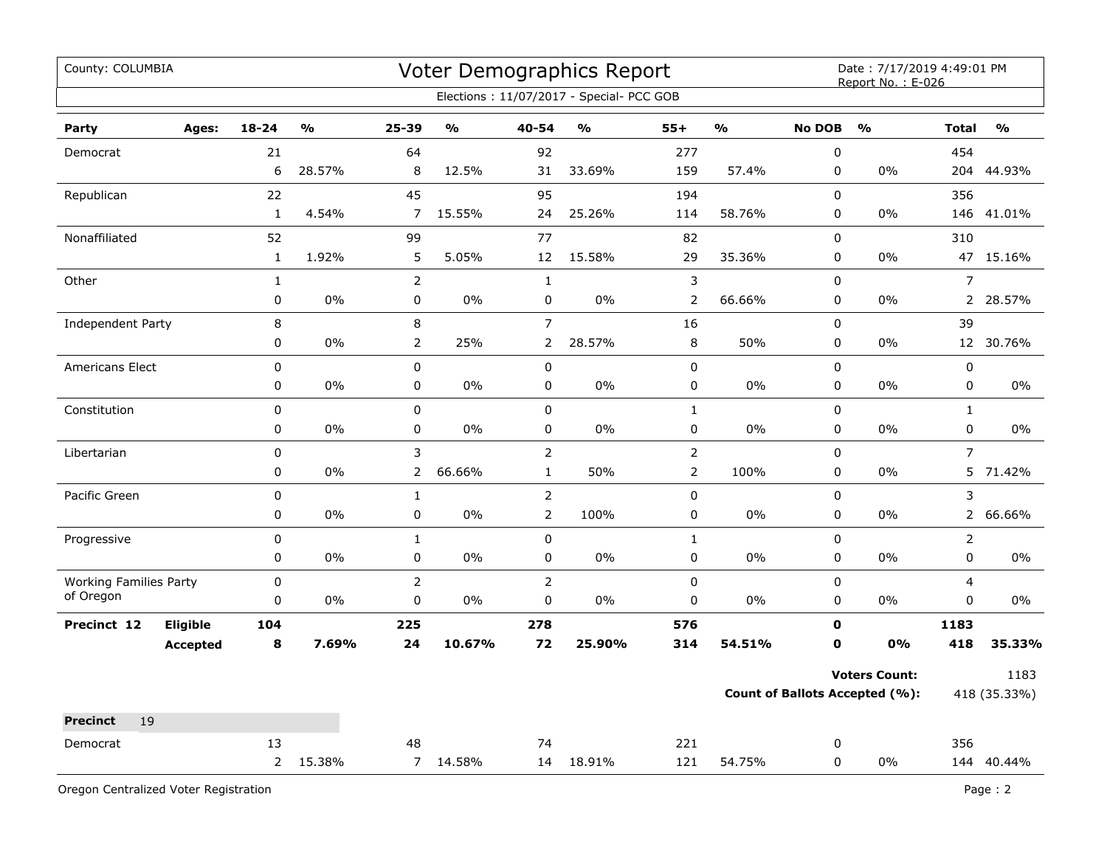| County: COLUMBIA              |       |                |               |                |               |                | Voter Demographics Report                |                |               |               | Date: 7/17/2019 4:49:01 PM<br>Report No.: E-026 |                |               |
|-------------------------------|-------|----------------|---------------|----------------|---------------|----------------|------------------------------------------|----------------|---------------|---------------|-------------------------------------------------|----------------|---------------|
|                               |       |                |               |                |               |                | Elections: 11/07/2017 - Special- PCC GOB |                |               |               |                                                 |                |               |
| Party                         | Ages: | $18 - 24$      | $\frac{0}{0}$ | 25-39          | $\frac{1}{2}$ | 40-54          | $\frac{0}{0}$                            | $55+$          | $\frac{9}{0}$ | <b>No DOB</b> | $\frac{0}{0}$                                   | <b>Total</b>   | $\frac{0}{0}$ |
| Democrat                      |       | 21             |               | 64             |               | 92             |                                          | 277            |               | $\pmb{0}$     |                                                 | 454            |               |
|                               |       | 6              | 28.57%        | 8              | 12.5%         | 31             | 33.69%                                   | 159            | 57.4%         | 0             | 0%                                              | 204            | 44.93%        |
| Republican                    |       | 22             |               | 45             |               | 95             |                                          | 194            |               | $\pmb{0}$     |                                                 | 356            |               |
|                               |       | $\mathbf{1}$   | 4.54%         | $\overline{7}$ | 15.55%        | 24             | 25.26%                                   | 114            | 58.76%        | 0             | 0%                                              | 146            | 41.01%        |
| Nonaffiliated                 |       | 52             |               | 99             |               | 77             |                                          | 82             |               | $\pmb{0}$     |                                                 | 310            |               |
|                               |       | $\mathbf{1}$   | 1.92%         | 5              | 5.05%         | 12             | 15.58%                                   | 29             | 35.36%        | 0             | 0%                                              |                | 47 15.16%     |
| Other                         |       | $\mathbf{1}$   |               | $\overline{2}$ |               | $\mathbf{1}$   |                                          | 3              |               | $\pmb{0}$     |                                                 | $\overline{7}$ |               |
|                               |       | $\pmb{0}$      | 0%            | 0              | $0\%$         | $\mathsf 0$    | $0\%$                                    | $\overline{2}$ | 66.66%        | 0             | 0%                                              |                | 2 28.57%      |
| Independent Party             |       | 8              |               | 8              |               | $\overline{7}$ |                                          | 16             |               | $\mathbf 0$   |                                                 | 39             |               |
|                               |       | 0              | 0%            | $\overline{2}$ | 25%           | $\overline{2}$ | 28.57%                                   | $\,8\,$        | 50%           | $\mathbf 0$   | 0%                                              |                | 12 30.76%     |
| <b>Americans Elect</b>        |       | $\pmb{0}$      |               | 0              |               | $\pmb{0}$      |                                          | 0              |               | 0             |                                                 | $\pmb{0}$      |               |
|                               |       | 0              | 0%            | 0              | 0%            | 0              | $0\%$                                    | 0              | 0%            | $\mathbf 0$   | 0%                                              | $\pmb{0}$      | 0%            |
| Constitution                  |       | 0              |               | 0              |               | $\mathsf 0$    |                                          | $\mathbf{1}$   |               | $\pmb{0}$     |                                                 | $\mathbf{1}$   |               |
|                               |       | 0              | 0%            | 0              | 0%            | $\pmb{0}$      | $0\%$                                    | 0              | 0%            | $\pmb{0}$     | 0%                                              | $\pmb{0}$      | 0%            |
| Libertarian                   |       | $\pmb{0}$      |               | 3              |               | $\overline{2}$ |                                          | $\overline{2}$ |               | $\pmb{0}$     |                                                 | $\overline{7}$ |               |
|                               |       | 0              | 0%            | $\overline{2}$ | 66.66%        | $\mathbf{1}$   | 50%                                      | $\overline{2}$ | 100%          | 0             | 0%                                              |                | 5 71.42%      |
| Pacific Green                 |       | $\mathsf 0$    |               | 1              |               | $\overline{2}$ |                                          | 0              |               | $\mathsf 0$   |                                                 | 3              |               |
|                               |       | $\pmb{0}$      | 0%            | 0              | 0%            | $\overline{2}$ | 100%                                     | 0              | 0%            | $\pmb{0}$     | 0%                                              |                | 2 66.66%      |
| Progressive                   |       | 0              |               | $\mathbf{1}$   |               | $\mathsf 0$    |                                          | $\mathbf{1}$   |               | $\pmb{0}$     |                                                 | $\overline{2}$ |               |
|                               |       | 0              | 0%            | 0              | 0%            | $\pmb{0}$      | 0%                                       | 0              | 0%            | 0             | 0%                                              | 0              | $0\%$         |
| <b>Working Families Party</b> |       | 0              |               | $\overline{2}$ |               | $\overline{2}$ |                                          | 0              |               | $\pmb{0}$     |                                                 | $\overline{4}$ |               |
| of Oregon                     |       | 0              | 0%            | $\mathbf 0$    | $0\%$         | $\pmb{0}$      | $0\%$                                    | $\mathbf 0$    | $0\%$         | 0             | 0%                                              | 0              | 0%            |
| Eligible<br>Precinct 12       |       | 104            |               | 225            |               | 278            |                                          | 576            |               | $\mathbf 0$   |                                                 | 1183           |               |
| <b>Accepted</b>               |       | 8              | 7.69%         | 24             | 10.67%        | 72             | 25.90%                                   | 314            | 54.51%        | 0             | 0%                                              | 418            | 35.33%        |
|                               |       |                |               |                |               |                |                                          |                |               |               | <b>Voters Count:</b>                            |                | 1183          |
|                               |       |                |               |                |               |                |                                          |                |               |               | <b>Count of Ballots Accepted (%):</b>           |                | 418 (35.33%)  |
| 19<br><b>Precinct</b>         |       |                |               |                |               |                |                                          |                |               |               |                                                 |                |               |
| Democrat                      |       | 13             |               | 48             |               | 74             |                                          | 221            |               | 0             |                                                 | 356            |               |
|                               |       | $\overline{2}$ | 15.38%        |                | 7 14.58%      |                | 14 18.91%                                | 121            | 54.75%        | $\mathbf 0$   | 0%                                              |                | 144 40.44%    |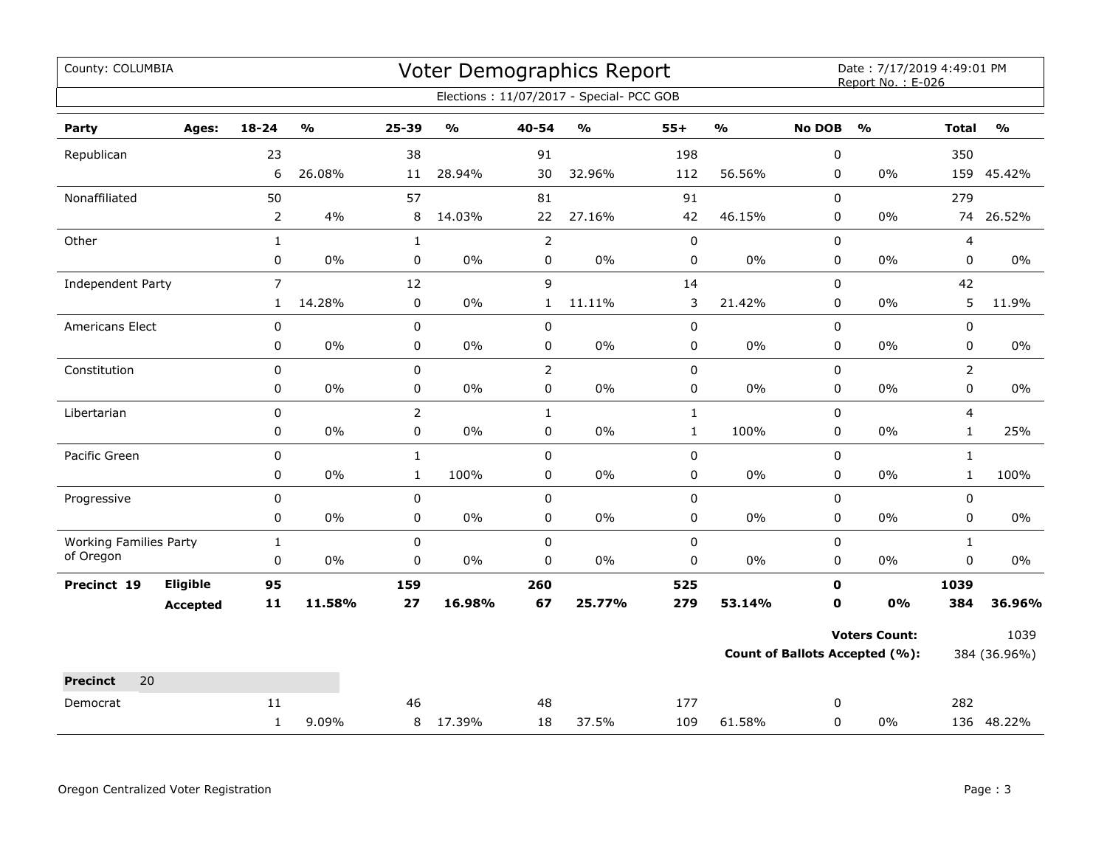| County: COLUMBIA                           |                 |                |                         |                |                         |                  | Voter Demographics Report                |              |               |               | Date: 7/17/2019 4:49:01 PM<br>Report No.: E-026 |                          |               |
|--------------------------------------------|-----------------|----------------|-------------------------|----------------|-------------------------|------------------|------------------------------------------|--------------|---------------|---------------|-------------------------------------------------|--------------------------|---------------|
|                                            |                 |                |                         |                |                         |                  | Elections: 11/07/2017 - Special- PCC GOB |              |               |               |                                                 |                          |               |
| Party                                      | Ages:           | $18 - 24$      | $\mathbf{O}/\mathbf{O}$ | 25-39          | $\mathbf{O}/\mathbf{o}$ | 40-54            | $\mathsf{o}\mathsf{v}_\mathsf{o}$        | $55+$        | $\frac{0}{0}$ | <b>No DOB</b> | $\frac{1}{2}$                                   | <b>Total</b>             | $\frac{9}{0}$ |
| Republican                                 |                 | 23             |                         | 38             |                         | 91               |                                          | 198          |               | 0             |                                                 | 350                      |               |
|                                            |                 | 6              | 26.08%                  | 11             | 28.94%                  | 30               | 32.96%                                   | 112          | 56.56%        | $\mathbf 0$   | $0\%$                                           |                          | 159 45.42%    |
| Nonaffiliated                              |                 | 50             |                         | 57             |                         | 81               |                                          | 91           |               | 0             |                                                 | 279                      |               |
|                                            |                 | $\overline{2}$ | 4%                      | 8              | 14.03%                  | 22               | 27.16%                                   | 42           | 46.15%        | 0             | $0\%$                                           | 74                       | 26.52%        |
| Other                                      |                 | $\mathbf{1}$   |                         | $\mathbf{1}$   |                         | $\overline{2}$   |                                          | $\mathsf 0$  |               | 0             |                                                 | $\overline{\mathcal{L}}$ |               |
|                                            |                 | 0              | 0%                      | $\pmb{0}$      | $0\%$                   | 0                | $0\%$                                    | 0            | $0\%$         | 0             | $0\%$                                           | $\pmb{0}$                | $0\%$         |
| Independent Party                          |                 | $\overline{7}$ |                         | 12             |                         | 9                |                                          | 14           |               | $\mathbf 0$   |                                                 | 42                       |               |
|                                            |                 | $\mathbf{1}$   | 14.28%                  | $\mathbf 0$    | 0%                      | $\mathbf{1}$     | 11.11%                                   | 3            | 21.42%        | $\mathbf 0$   | 0%                                              | 5                        | 11.9%         |
| Americans Elect                            |                 | $\pmb{0}$      |                         | $\pmb{0}$      |                         | 0                |                                          | 0            |               | 0             |                                                 | $\pmb{0}$                |               |
|                                            |                 | $\pmb{0}$      | $0\%$                   | $\pmb{0}$      | $0\%$                   | 0                | $0\%$                                    | 0            | $0\%$         | 0             | $0\%$                                           | $\pmb{0}$                | $0\%$         |
| Constitution                               |                 | 0              |                         | 0              |                         | $\overline{2}$   |                                          | 0            |               | $\Omega$      |                                                 | $\overline{2}$           |               |
|                                            |                 | 0              | 0%                      | $\pmb{0}$      | $0\%$                   | 0                | $0\%$                                    | 0            | $0\%$         | 0             | $0\%$                                           | $\pmb{0}$                | $0\%$         |
| Libertarian                                |                 | 0              |                         | $\overline{2}$ |                         | $\mathbf{1}$     |                                          | $\mathbf{1}$ |               | $\mathbf 0$   |                                                 | $\overline{4}$           |               |
|                                            |                 | 0              | 0%                      | 0              | 0%                      | 0                | 0%                                       | $\mathbf{1}$ | 100%          | $\mathbf 0$   | $0\%$                                           | $\mathbf{1}$             | 25%           |
| Pacific Green                              |                 | 0              |                         | $\mathbf 1$    |                         | $\pmb{0}$        |                                          | 0            |               | $\pmb{0}$     |                                                 | $\mathbf{1}$             |               |
|                                            |                 | 0              | 0%                      | $\mathbf{1}$   | 100%                    | 0                | $0\%$                                    | 0            | $0\%$         | 0             | $0\%$                                           | $\mathbf{1}$             | 100%          |
| Progressive                                |                 | 0              |                         | $\mathbf 0$    |                         | 0                |                                          | 0            |               | 0             |                                                 | 0                        |               |
|                                            |                 | 0              | 0%                      | $\mathbf 0$    | 0%                      | 0                | 0%                                       | 0            | $0\%$         | 0             | $0\%$                                           | $\mathbf 0$              | $0\%$         |
| <b>Working Families Party</b><br>of Oregon |                 | $\mathbf{1}$   |                         | 0              |                         | $\mathbf 0$      |                                          | 0            |               | $\mathbf 0$   |                                                 | $\mathbf{1}$             |               |
|                                            |                 | $\pmb{0}$      | 0%                      | $\mathbf 0$    | $0\%$                   | $\boldsymbol{0}$ | 0%                                       | 0            | $0\%$         | $\mathbf 0$   | $0\%$                                           | $\mathbf 0$              | $0\%$         |
| Precinct 19                                | Eligible        | 95             |                         | 159            |                         | 260              |                                          | 525          |               | 0             |                                                 | 1039                     |               |
|                                            | <b>Accepted</b> | $\mathbf{11}$  | 11.58%                  | 27             | 16.98%                  | 67               | 25.77%                                   | 279          | 53.14%        | $\mathbf 0$   | 0%                                              | 384                      | 36.96%        |
|                                            |                 |                |                         |                |                         |                  |                                          |              |               |               | <b>Voters Count:</b>                            |                          | 1039          |
|                                            |                 |                |                         |                |                         |                  |                                          |              |               |               | <b>Count of Ballots Accepted (%):</b>           |                          | 384 (36.96%)  |
| 20<br><b>Precinct</b>                      |                 |                |                         |                |                         |                  |                                          |              |               |               |                                                 |                          |               |
| Democrat                                   |                 | 11             |                         | 46             |                         | 48               |                                          | 177          |               | 0             |                                                 | 282                      |               |
|                                            |                 | $\mathbf{1}$   | 9.09%                   | 8              | 17.39%                  | 18               | 37.5%                                    | 109          | 61.58%        | 0             | $0\%$                                           |                          | 136 48.22%    |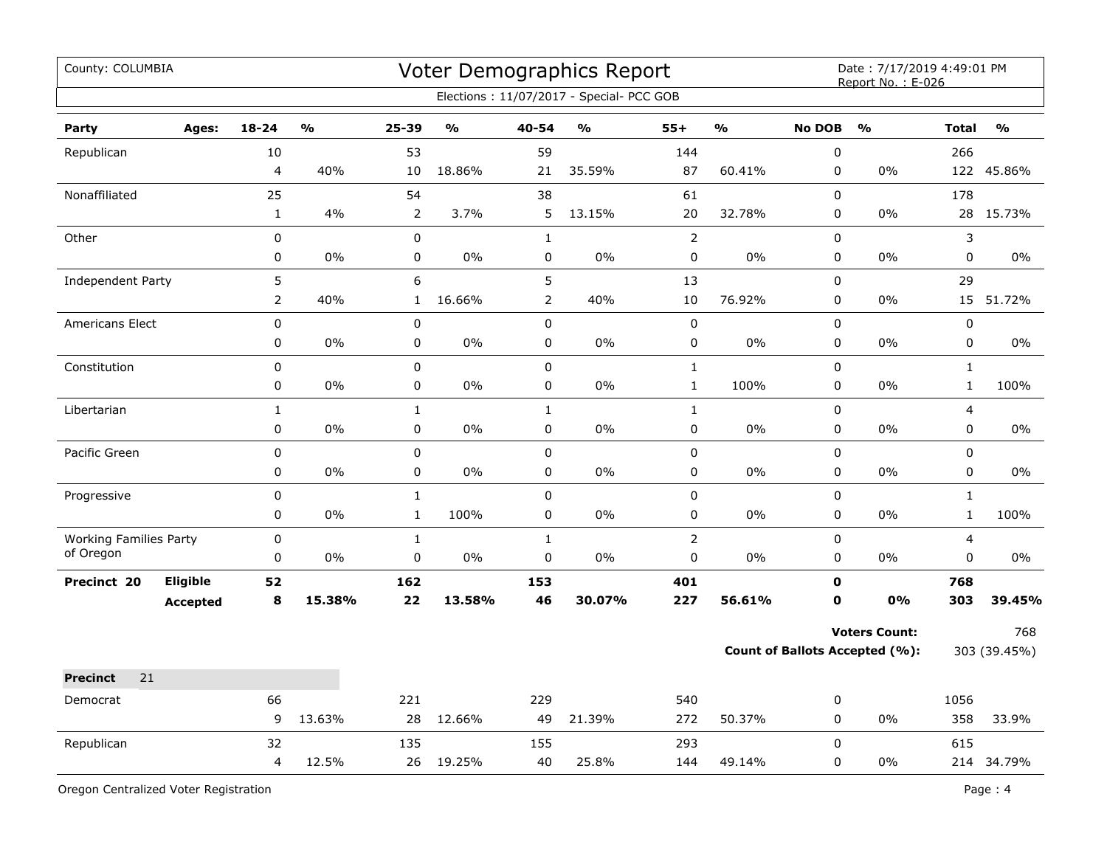| County: COLUMBIA              |                 |                |        |                |               |                | <b>Voter Demographics Report</b>         |                |               |               | Date: 7/17/2019 4:49:01 PM<br>Report No.: E-026 |              |               |
|-------------------------------|-----------------|----------------|--------|----------------|---------------|----------------|------------------------------------------|----------------|---------------|---------------|-------------------------------------------------|--------------|---------------|
|                               |                 |                |        |                |               |                | Elections: 11/07/2017 - Special- PCC GOB |                |               |               |                                                 |              |               |
| Party                         | Ages:           | $18 - 24$      | %      | $25 - 39$      | $\frac{1}{2}$ | 40-54          | $\frac{1}{2}$                            | $55+$          | $\frac{1}{2}$ | <b>No DOB</b> | $\frac{1}{2}$                                   | <b>Total</b> | $\frac{1}{2}$ |
| Republican                    |                 | 10             |        | 53             |               | 59             |                                          | 144            |               | 0             |                                                 | 266          |               |
|                               |                 | $\overline{4}$ | 40%    | 10             | 18.86%        | 21             | 35.59%                                   | 87             | 60.41%        | 0             | 0%                                              |              | 122 45.86%    |
| Nonaffiliated                 |                 | 25             |        | 54             |               | 38             |                                          | 61             |               | 0             |                                                 | 178          |               |
|                               |                 | $\mathbf{1}$   | 4%     | $\overline{2}$ | 3.7%          | 5              | 13.15%                                   | 20             | 32.78%        | 0             | 0%                                              | 28           | 15.73%        |
| Other                         |                 | $\mathbf 0$    |        | 0              |               | $\mathbf{1}$   |                                          | $\mathsf{2}\,$ |               | 0             |                                                 | 3            |               |
|                               |                 | $\pmb{0}$      | 0%     | 0              | 0%            | $\pmb{0}$      | $0\%$                                    | $\mathbf 0$    | 0%            | 0             | 0%                                              | 0            | 0%            |
| <b>Independent Party</b>      |                 | 5              |        | 6              |               | 5              |                                          | 13             |               | 0             |                                                 | 29           |               |
|                               |                 | $\overline{2}$ | 40%    | $\mathbf{1}$   | 16.66%        | $\overline{2}$ | 40%                                      | $10\,$         | 76.92%        | 0             | 0%                                              |              | 15 51.72%     |
| <b>Americans Elect</b>        |                 | $\mathbf 0$    |        | 0              |               | $\pmb{0}$      |                                          | $\pmb{0}$      |               | 0             |                                                 | 0            |               |
|                               |                 | $\pmb{0}$      | 0%     | 0              | 0%            | $\pmb{0}$      | 0%                                       | $\mathsf 0$    | 0%            | 0             | 0%                                              | 0            | 0%            |
| Constitution                  |                 | $\pmb{0}$      |        | 0              |               | $\pmb{0}$      |                                          | $\mathbf 1$    |               | 0             |                                                 | $\mathbf{1}$ |               |
|                               |                 | $\pmb{0}$      | 0%     | 0              | 0%            | $\pmb{0}$      | 0%                                       | $\mathbf 1$    | 100%          | 0             | 0%                                              | $\mathbf 1$  | 100%          |
| Libertarian                   |                 | $\mathbf{1}$   |        | $\mathbf 1$    |               | $\mathbf 1$    |                                          | $\mathbf{1}$   |               | 0             |                                                 | 4            |               |
|                               |                 | $\pmb{0}$      | $0\%$  | $\mathbf 0$    | $0\%$         | $\pmb{0}$      | $0\%$                                    | $\pmb{0}$      | 0%            | 0             | 0%                                              | 0            | 0%            |
| Pacific Green                 |                 | $\pmb{0}$      |        | 0              |               | $\pmb{0}$      |                                          | $\pmb{0}$      |               | $\mathsf 0$   |                                                 | 0            |               |
|                               |                 | $\mathbf 0$    | 0%     | 0              | 0%            | $\mathbf 0$    | $0\%$                                    | $\pmb{0}$      | 0%            | 0             | 0%                                              | 0            | $0\%$         |
| Progressive                   |                 | $\pmb{0}$      |        | $\mathbf 1$    |               | $\pmb{0}$      |                                          | $\pmb{0}$      |               | $\mathsf 0$   |                                                 | $\mathbf{1}$ |               |
|                               |                 | $\mathbf 0$    | 0%     | $\mathbf{1}$   | 100%          | $\mathbf 0$    | 0%                                       | $\mathbf 0$    | 0%            | 0             | 0%                                              | $\mathbf{1}$ | 100%          |
| <b>Working Families Party</b> |                 | $\mathbf 0$    |        | $\mathbf{1}$   |               | $\mathbf 1$    |                                          | $\overline{2}$ |               | 0             |                                                 | 4            |               |
| of Oregon                     |                 | 0              | 0%     | 0              | 0%            | $\mathbf 0$    | $0\%$                                    | $\mathbf 0$    | 0%            | 0             | 0%                                              | 0            | $0\%$         |
| Precinct 20                   | Eligible        | 52             |        | 162            |               | 153            |                                          | 401            |               | $\mathbf o$   |                                                 | 768          |               |
|                               | <b>Accepted</b> | 8              | 15.38% | 22             | 13.58%        | 46             | 30.07%                                   | 227            | 56.61%        | $\mathbf{0}$  | 0%                                              | 303          | 39.45%        |
|                               |                 |                |        |                |               |                |                                          |                |               |               | <b>Voters Count:</b>                            |              | 768           |
|                               |                 |                |        |                |               |                |                                          |                |               |               | <b>Count of Ballots Accepted (%):</b>           |              | 303 (39.45%)  |
| 21<br><b>Precinct</b>         |                 |                |        |                |               |                |                                          |                |               |               |                                                 |              |               |
| Democrat                      |                 | 66             |        | 221            |               | 229            |                                          | 540            |               | 0             |                                                 | 1056         |               |
|                               |                 | 9              | 13.63% | 28             | 12.66%        | 49             | 21.39%                                   | 272            | 50.37%        | 0             | 0%                                              | 358          | 33.9%         |
| Republican                    |                 | 32             |        | 135            |               | 155            |                                          | 293            |               | 0             |                                                 | 615          |               |
|                               |                 | 4              | 12.5%  | 26             | 19.25%        | 40             | 25.8%                                    | 144            | 49.14%        | 0             | 0%                                              |              | 214 34.79%    |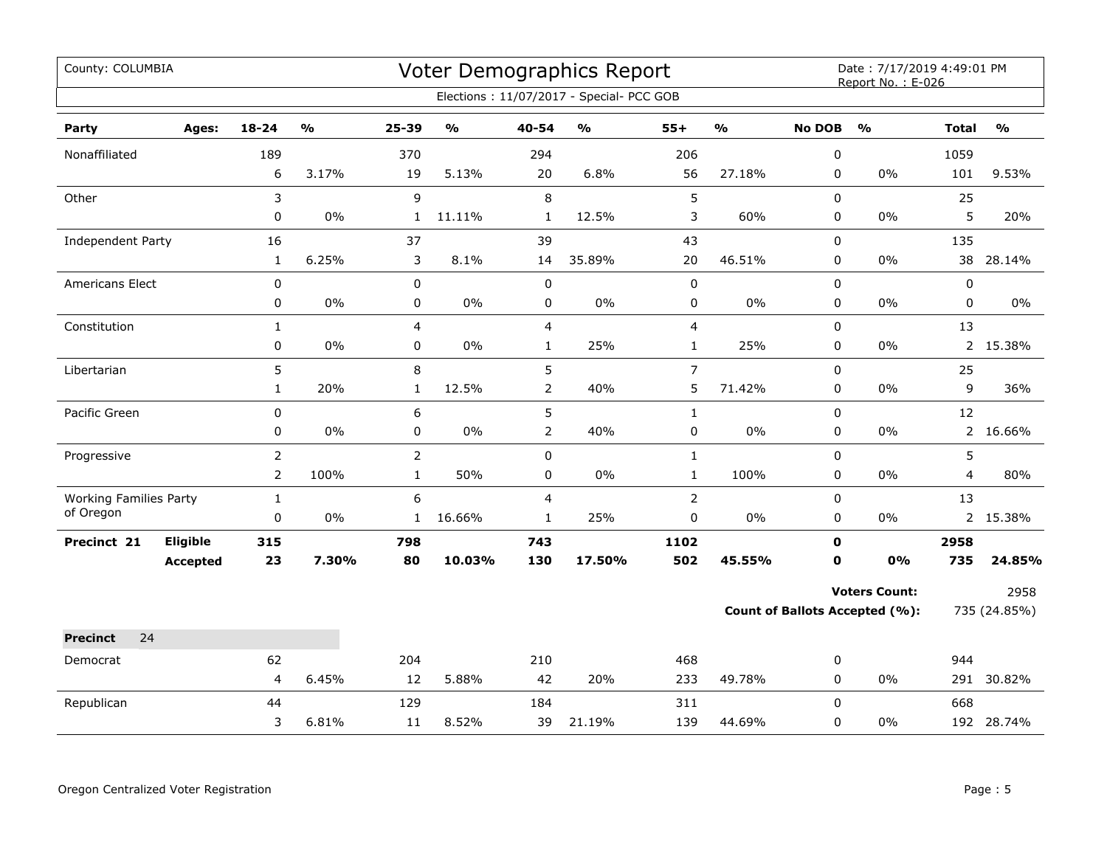| County: COLUMBIA                           |                 |                |                         |                |               |                         | <b>Voter Demographics Report</b>         |                |               |                | Date: 7/17/2019 4:49:01 PM<br>Report No.: E-026 |              |               |
|--------------------------------------------|-----------------|----------------|-------------------------|----------------|---------------|-------------------------|------------------------------------------|----------------|---------------|----------------|-------------------------------------------------|--------------|---------------|
|                                            |                 |                |                         |                |               |                         | Elections: 11/07/2017 - Special- PCC GOB |                |               |                |                                                 |              |               |
| Party                                      | Ages:           | 18-24          | $\mathbf{O}/\mathbf{o}$ | 25-39          | $\frac{0}{0}$ | 40-54                   | $\mathsf{o}\mathsf{v}_\mathsf{o}$        | $55+$          | $\frac{0}{0}$ | <b>No DOB</b>  | $\frac{0}{0}$                                   | <b>Total</b> | $\frac{0}{0}$ |
| Nonaffiliated                              |                 | 189            |                         | 370            |               | 294                     |                                          | 206            |               | $\pmb{0}$      |                                                 | 1059         |               |
|                                            |                 | 6              | 3.17%                   | 19             | 5.13%         | 20                      | 6.8%                                     | 56             | 27.18%        | 0              | 0%                                              | 101          | 9.53%         |
| Other                                      |                 | 3              |                         | 9              |               | $\,8\,$                 |                                          | 5              |               | 0              |                                                 | 25           |               |
|                                            |                 | 0              | $0\%$                   | $\mathbf{1}$   | 11.11%        | $\mathbf{1}$            | 12.5%                                    | 3              | 60%           | 0              | 0%                                              | 5            | 20%           |
| Independent Party                          |                 | 16             |                         | 37             |               | 39                      |                                          | 43             |               | 0              |                                                 | 135          |               |
|                                            |                 | $\mathbf{1}$   | 6.25%                   | 3              | 8.1%          | 14                      | 35.89%                                   | 20             | 46.51%        | $\pmb{0}$      | 0%                                              | 38           | 28.14%        |
| Americans Elect                            |                 | $\mathbf 0$    |                         | 0              |               | $\mathbf 0$             |                                          | $\mathbf 0$    |               | 0              |                                                 | 0            |               |
|                                            |                 | 0              | 0%                      | 0              | 0%            | 0                       | 0%                                       | 0              | $0\%$         | 0              | 0%                                              | 0            | $0\%$         |
| Constitution                               |                 | $\mathbf{1}$   |                         | $\overline{4}$ |               | $\overline{\mathbf{4}}$ |                                          | 4              |               | $\pmb{0}$      |                                                 | 13           |               |
|                                            |                 | $\pmb{0}$      | 0%                      | 0              | 0%            | $\mathbf{1}$            | 25%                                      | $\mathbf{1}$   | 25%           | $\pmb{0}$      | 0%                                              |              | 2 15.38%      |
| Libertarian                                |                 | 5              |                         | 8              |               | 5                       |                                          | $\overline{7}$ |               | $\overline{0}$ |                                                 | 25           |               |
|                                            |                 | $\mathbf{1}$   | 20%                     | $\mathbf{1}$   | 12.5%         | $\mathbf 2$             | 40%                                      | 5              | 71.42%        | $\pmb{0}$      | 0%                                              | 9            | 36%           |
| Pacific Green                              |                 | 0              |                         | 6              |               | 5                       |                                          | $\mathbf{1}$   |               | 0              |                                                 | 12           |               |
|                                            |                 | 0              | 0%                      | 0              | 0%            | $\overline{2}$          | 40%                                      | 0              | 0%            | $\mathbf 0$    | 0%                                              |              | 2 16.66%      |
| Progressive                                |                 | $\overline{2}$ |                         | $\overline{2}$ |               | $\pmb{0}$               |                                          | $\mathbf{1}$   |               | $\mathbf 0$    |                                                 | 5            |               |
|                                            |                 | $\overline{2}$ | 100%                    | $\mathbf{1}$   | 50%           | 0                       | $0\%$                                    | $\mathbf 1$    | 100%          | 0              | 0%                                              | 4            | 80%           |
| <b>Working Families Party</b><br>of Oregon |                 | $\mathbf{1}$   |                         | 6              |               | $\overline{4}$          |                                          | $\overline{2}$ |               | 0              |                                                 | 13           |               |
|                                            |                 | 0              | $0\%$                   | $\mathbf{1}$   | 16.66%        | $\mathbf{1}$            | 25%                                      | 0              | 0%            | 0              | 0%                                              |              | 2 15.38%      |
| Precinct 21                                | Eligible        | 315            |                         | 798            |               | 743                     |                                          | 1102           |               | $\mathbf 0$    |                                                 | 2958         |               |
|                                            | <b>Accepted</b> | 23             | 7.30%                   | 80             | 10.03%        | 130                     | 17.50%                                   | 502            | 45.55%        | $\mathbf 0$    | 0%                                              | 735          | 24.85%        |
|                                            |                 |                |                         |                |               |                         |                                          |                |               |                | <b>Voters Count:</b>                            |              | 2958          |
|                                            |                 |                |                         |                |               |                         |                                          |                |               |                | <b>Count of Ballots Accepted (%):</b>           |              | 735 (24.85%)  |
| <b>Precinct</b><br>24                      |                 |                |                         |                |               |                         |                                          |                |               |                |                                                 |              |               |
| Democrat                                   |                 | 62             |                         | 204            |               | 210                     |                                          | 468            |               | 0              |                                                 | 944          |               |
|                                            |                 | $\overline{4}$ | 6.45%                   | 12             | 5.88%         | 42                      | 20%                                      | 233            | 49.78%        | 0              | 0%                                              |              | 291 30.82%    |
| Republican                                 |                 | 44             |                         | 129            |               | 184                     |                                          | 311            |               | $\Omega$       |                                                 | 668          |               |
|                                            |                 | 3              | 6.81%                   | 11             | 8.52%         | 39                      | 21.19%                                   | 139            | 44.69%        | 0              | 0%                                              |              | 192 28.74%    |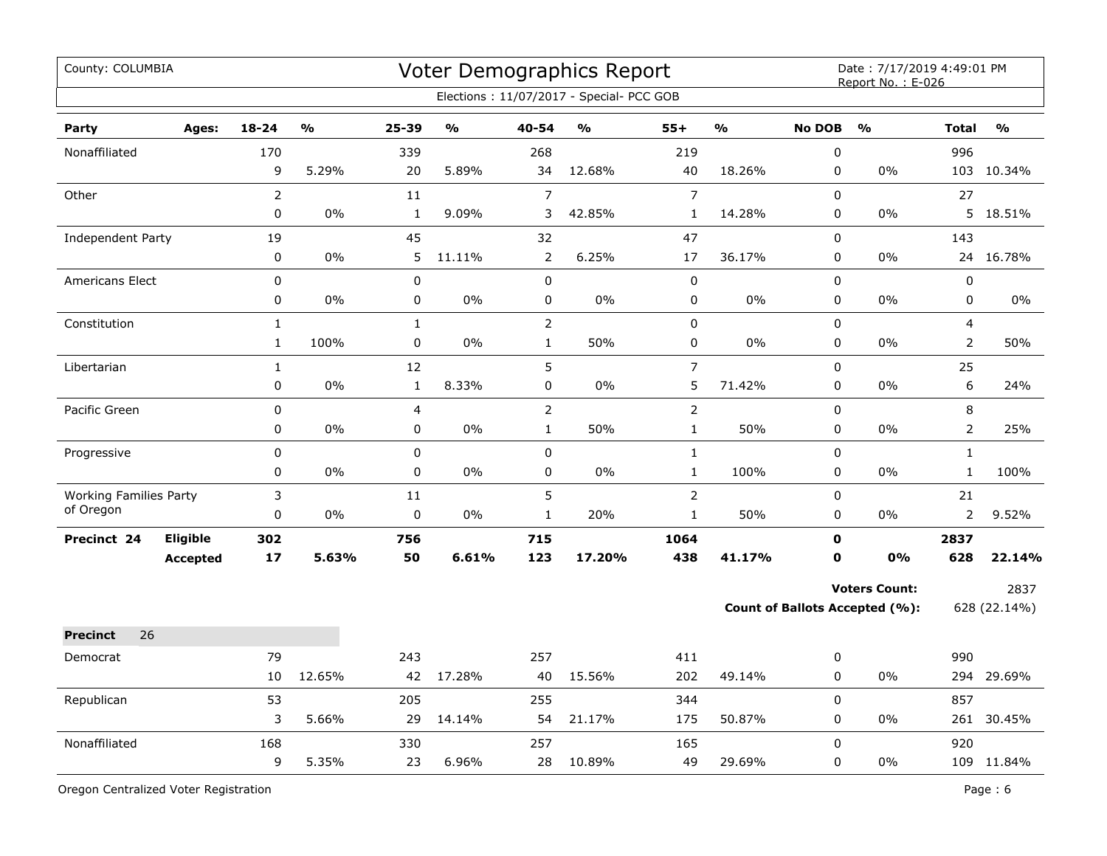| County: COLUMBIA                           |                 |                |        |              |               |                | <b>Voter Demographics Report</b><br>Elections: 11/07/2017 - Special- PCC GOB |                |               |               | Date: 7/17/2019 4:49:01 PM<br>Report No.: E-026 |                |               |
|--------------------------------------------|-----------------|----------------|--------|--------------|---------------|----------------|------------------------------------------------------------------------------|----------------|---------------|---------------|-------------------------------------------------|----------------|---------------|
| Party                                      | Ages:           | $18 - 24$      | %      | $25 - 39$    | $\frac{0}{0}$ | 40-54          | $\frac{0}{0}$                                                                | $55+$          | $\frac{0}{0}$ | <b>No DOB</b> | $\frac{0}{0}$                                   | <b>Total</b>   | $\frac{9}{0}$ |
| Nonaffiliated                              |                 | 170            |        | 339          |               | 268            |                                                                              | 219            |               | $\pmb{0}$     |                                                 | 996            |               |
|                                            |                 | 9              | 5.29%  | 20           | 5.89%         | 34             | 12.68%                                                                       | 40             | 18.26%        | $\mathbf 0$   | $0\%$                                           |                | 103 10.34%    |
| Other                                      |                 | $\overline{2}$ |        | 11           |               | $\overline{7}$ |                                                                              | $\overline{7}$ |               | 0             |                                                 | 27             |               |
|                                            |                 | $\mathbf 0$    | 0%     | $\mathbf{1}$ | 9.09%         | 3              | 42.85%                                                                       | $\mathbf{1}$   | 14.28%        | $\mathbf 0$   | 0%                                              |                | 5 18.51%      |
| Independent Party                          |                 | 19             |        | 45           |               | 32             |                                                                              | 47             |               | 0             |                                                 | 143            |               |
|                                            |                 | $\mathbf 0$    | 0%     | 5            | 11.11%        | $\overline{2}$ | 6.25%                                                                        | 17             | 36.17%        | $\mathbf 0$   | 0%                                              |                | 24 16.78%     |
| Americans Elect                            |                 | $\mathbf 0$    |        | 0            |               | 0              |                                                                              | $\pmb{0}$      |               | $\mathbf{0}$  |                                                 | 0              |               |
|                                            |                 | 0              | 0%     | $\mathbf 0$  | 0%            | $\mathbf 0$    | 0%                                                                           | $\pmb{0}$      | 0%            | $\mathbf 0$   | 0%                                              | $\mathbf 0$    | $0\%$         |
| Constitution                               |                 | $\mathbf{1}$   |        | $\mathbf{1}$ |               | $\overline{2}$ |                                                                              | $\pmb{0}$      |               | 0             |                                                 | 4              |               |
|                                            |                 | $\mathbf{1}$   | 100%   | 0            | 0%            | $\mathbf{1}$   | 50%                                                                          | 0              | 0%            | $\mathbf 0$   | 0%                                              | $\overline{2}$ | 50%           |
| Libertarian                                |                 | $\mathbf{1}$   |        | 12           |               | 5              |                                                                              | $\overline{7}$ |               | 0             |                                                 | 25             |               |
|                                            |                 | $\mathbf 0$    | 0%     | $\mathbf{1}$ | 8.33%         | 0              | 0%                                                                           | 5              | 71.42%        | $\mathbf 0$   | 0%                                              | 6              | 24%           |
| Pacific Green                              |                 | $\mathbf 0$    |        | 4            |               | $\overline{2}$ |                                                                              | $\overline{2}$ |               | $\pmb{0}$     |                                                 | 8              |               |
|                                            |                 | 0              | 0%     | 0            | $0\%$         | $\mathbf 1$    | 50%                                                                          | $\mathbf 1$    | 50%           | $\mathbf 0$   | 0%                                              | $\overline{2}$ | 25%           |
| Progressive                                |                 | 0              |        | 0            |               | 0              |                                                                              | $\mathbf 1$    |               | $\mathbf 0$   |                                                 | $\mathbf 1$    |               |
|                                            |                 | 0              | 0%     | 0            | 0%            | 0              | 0%                                                                           | $\mathbf 1$    | 100%          | $\mathbf 0$   | 0%                                              | $\mathbf{1}$   | 100%          |
| <b>Working Families Party</b><br>of Oregon |                 | 3              |        | 11           |               | 5              |                                                                              | $\overline{2}$ |               | $\mathbf 0$   |                                                 | 21             |               |
|                                            |                 | 0              | $0\%$  | 0            | $0\%$         | $\mathbf{1}$   | 20%                                                                          | $\mathbf 1$    | 50%           | $\mathbf 0$   | 0%                                              | $\overline{2}$ | 9.52%         |
| Precinct 24                                | <b>Eligible</b> | 302            |        | 756          |               | 715            |                                                                              | 1064           |               | $\mathbf 0$   |                                                 | 2837           |               |
|                                            | <b>Accepted</b> | 17             | 5.63%  | 50           | 6.61%         | 123            | 17.20%                                                                       | 438            | 41.17%        | $\mathbf 0$   | 0%                                              | 628            | 22.14%        |
|                                            |                 |                |        |              |               |                |                                                                              |                |               |               | <b>Voters Count:</b>                            |                | 2837          |
|                                            |                 |                |        |              |               |                |                                                                              |                |               |               | Count of Ballots Accepted (%):                  |                | 628 (22.14%)  |
| 26<br><b>Precinct</b>                      |                 |                |        |              |               |                |                                                                              |                |               |               |                                                 |                |               |
| Democrat                                   |                 | 79             |        | 243          |               | 257            |                                                                              | 411            |               | $\mathbf 0$   |                                                 | 990            |               |
|                                            |                 | 10             | 12.65% | 42           | 17.28%        | 40             | 15.56%                                                                       | 202            | 49.14%        | 0             | 0%                                              |                | 294 29.69%    |
| Republican                                 |                 | 53             |        | 205          |               | 255            |                                                                              | 344            |               | $\mathbf 0$   |                                                 | 857            |               |
|                                            |                 | 3              | 5.66%  | 29           | 14.14%        | 54             | 21.17%                                                                       | 175            | 50.87%        | 0             | 0%                                              |                | 261 30.45%    |
| Nonaffiliated                              |                 | 168            |        | 330          |               | 257            |                                                                              | 165            |               | $\mathbf 0$   |                                                 | 920            |               |
|                                            |                 | 9              | 5.35%  | 23           | 6.96%         | 28             | 10.89%                                                                       | 49             | 29.69%        | 0             | 0%                                              |                | 109 11.84%    |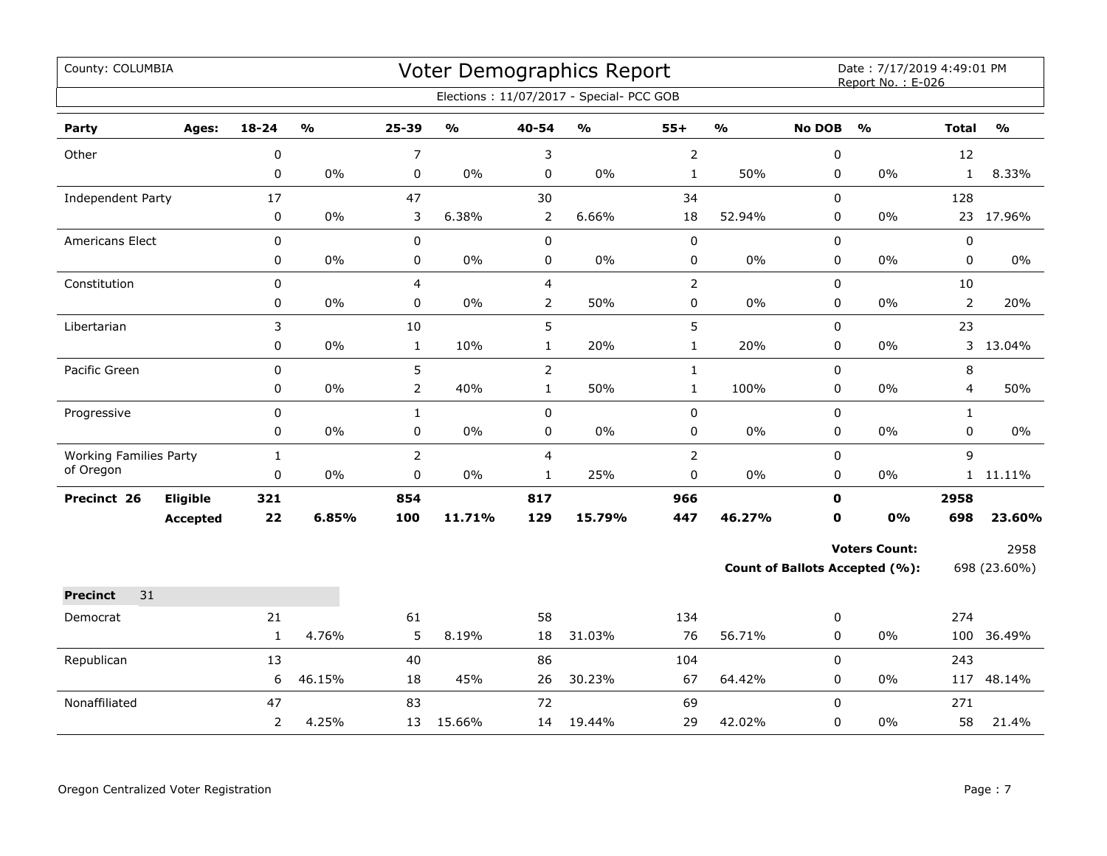| County: COLUMBIA              |                 |              |        |                |               |                | Voter Demographics Report<br>Elections: 11/07/2017 - Special- PCC GOB |                |                         |               | Date: 7/17/2019 4:49:01 PM<br>Report No.: E-026 |                |               |
|-------------------------------|-----------------|--------------|--------|----------------|---------------|----------------|-----------------------------------------------------------------------|----------------|-------------------------|---------------|-------------------------------------------------|----------------|---------------|
|                               |                 |              |        |                |               |                |                                                                       |                |                         |               |                                                 |                |               |
| Party                         | Ages:           | 18-24        | %      | 25-39          | $\frac{1}{2}$ | 40-54          | %                                                                     | $55+$          | $\mathbf{O}/\mathbf{O}$ | <b>No DOB</b> | $\frac{0}{0}$                                   | <b>Total</b>   | $\frac{1}{2}$ |
| Other                         |                 | 0            |        | 7              |               | 3              |                                                                       | $\overline{2}$ |                         | 0             |                                                 | 12             |               |
|                               |                 | 0            | 0%     | 0              | $0\%$         | $\pmb{0}$      | 0%                                                                    | $\mathbf{1}$   | 50%                     | 0             | 0%                                              | $\mathbf{1}$   | 8.33%         |
| Independent Party             |                 | 17           |        | 47             |               | 30             |                                                                       | 34             |                         | 0             |                                                 | 128            |               |
|                               |                 | $\pmb{0}$    | 0%     | 3              | 6.38%         | $\overline{2}$ | 6.66%                                                                 | 18             | 52.94%                  | 0             | 0%                                              |                | 23 17.96%     |
| Americans Elect               |                 | 0            |        | 0              |               | $\pmb{0}$      |                                                                       | $\pmb{0}$      |                         | 0             |                                                 | $\pmb{0}$      |               |
|                               |                 | 0            | $0\%$  | 0              | 0%            | 0              | 0%                                                                    | 0              | $0\%$                   | 0             | 0%                                              | 0              | $0\%$         |
| Constitution                  |                 | 0            |        | 4              |               | $\overline{4}$ |                                                                       | $\overline{2}$ |                         | 0             |                                                 | 10             |               |
|                               |                 | 0            | 0%     | 0              | $0\%$         | $\overline{2}$ | 50%                                                                   | 0              | 0%                      | 0             | 0%                                              | $\overline{2}$ | 20%           |
| Libertarian                   |                 | 3            |        | 10             |               | 5              |                                                                       | 5              |                         | 0             |                                                 | 23             |               |
|                               |                 | 0            | $0\%$  | $\mathbf{1}$   | 10%           | $\mathbf{1}$   | 20%                                                                   | $\mathbf{1}$   | 20%                     | 0             | $0\%$                                           | 3              | 13.04%        |
| Pacific Green                 |                 | 0            |        | 5              |               | $\overline{2}$ |                                                                       | $\mathbf{1}$   |                         | $\mathbf 0$   |                                                 | 8              |               |
|                               |                 | 0            | 0%     | $\overline{2}$ | 40%           | $\mathbf{1}$   | 50%                                                                   | $\mathbf{1}$   | 100%                    | 0             | 0%                                              | 4              | 50%           |
| Progressive                   |                 | 0            |        | $\mathbf{1}$   |               | $\pmb{0}$      |                                                                       | 0              |                         | $\mathbf 0$   |                                                 | $\mathbf{1}$   |               |
|                               |                 | 0            | 0%     | 0              | $0\%$         | $\pmb{0}$      | $0\%$                                                                 | 0              | $0\%$                   | $\pmb{0}$     | $0\%$                                           | 0              | $0\%$         |
| <b>Working Families Party</b> |                 | $\mathbf{1}$ |        | $\overline{2}$ |               | $\overline{4}$ |                                                                       | $\overline{2}$ |                         | 0             |                                                 | 9              |               |
| of Oregon                     |                 | 0            | 0%     | 0              | 0%            | $\mathbf{1}$   | 25%                                                                   | 0              | 0%                      | $\mathbf 0$   | $0\%$                                           |                | 1 11.11%      |
| Precinct 26                   | Eligible        | 321          |        | 854            |               | 817            |                                                                       | 966            |                         | $\mathbf 0$   |                                                 | 2958           |               |
|                               | <b>Accepted</b> | 22           | 6.85%  | 100            | 11.71%        | 129            | 15.79%                                                                | 447            | 46.27%                  | $\mathbf 0$   | 0%                                              | 698            | 23.60%        |
|                               |                 |              |        |                |               |                |                                                                       |                |                         |               | <b>Voters Count:</b>                            |                | 2958          |
|                               |                 |              |        |                |               |                |                                                                       |                |                         |               | <b>Count of Ballots Accepted (%):</b>           |                | 698 (23.60%)  |
| <b>Precinct</b><br>31         |                 |              |        |                |               |                |                                                                       |                |                         |               |                                                 |                |               |
| Democrat                      |                 | 21           |        | 61             |               | 58             |                                                                       | 134            |                         | 0             |                                                 | 274            |               |
|                               |                 | $\mathbf{1}$ | 4.76%  | 5              | 8.19%         | 18             | 31.03%                                                                | 76             | 56.71%                  | 0             | 0%                                              |                | 100 36.49%    |
| Republican                    |                 | 13           |        | 40             |               | 86             |                                                                       | 104            |                         | 0             |                                                 | 243            |               |
|                               |                 | 6            | 46.15% | 18             | 45%           | 26             | 30.23%                                                                | 67             | 64.42%                  | $\mathbf 0$   | 0%                                              |                | 117 48.14%    |
| Nonaffiliated                 |                 | 47           |        | 83             |               | 72             |                                                                       | 69             |                         | $\Omega$      |                                                 | 271            |               |
|                               |                 | 2            | 4.25%  | 13             | 15.66%        | 14             | 19.44%                                                                | 29             | 42.02%                  | 0             | 0%                                              | 58             | 21.4%         |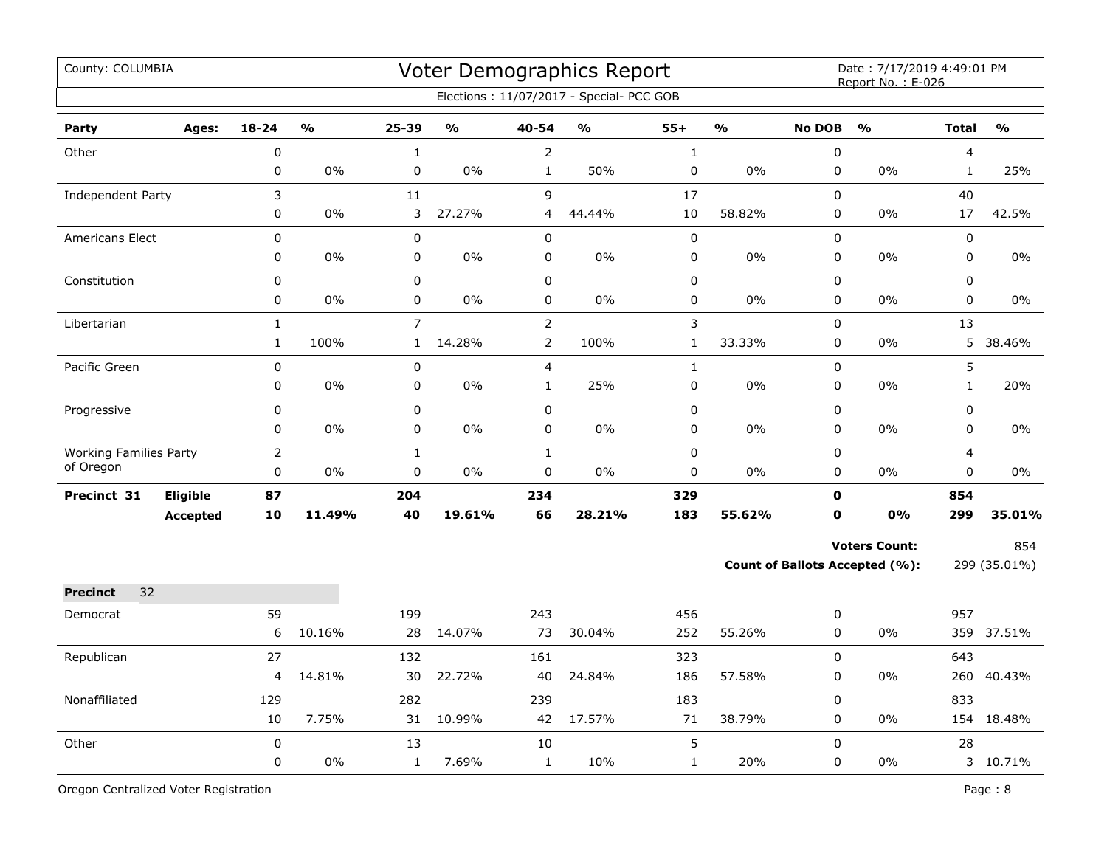| County: COLUMBIA              |              |                                   |                   |                                   |                    | <b>Voter Demographics Report</b>         |              |                         |               | Date: 7/17/2019 4:49:01 PM<br>Report No.: E-026 |                |               |
|-------------------------------|--------------|-----------------------------------|-------------------|-----------------------------------|--------------------|------------------------------------------|--------------|-------------------------|---------------|-------------------------------------------------|----------------|---------------|
|                               |              |                                   |                   |                                   |                    | Elections: 11/07/2017 - Special- PCC GOB |              |                         |               |                                                 |                |               |
| Party<br>Ages:                | $18 - 24$    | $\mathsf{o}\mathsf{v}_\mathsf{o}$ | 25-39             | $\mathsf{o}\mathsf{v}_\mathsf{o}$ | 40-54              | $\mathsf{o}\mathsf{v}_\mathsf{o}$        | $55+$        | $\mathbf{O}/\mathbf{O}$ | <b>No DOB</b> | $\frac{1}{2}$                                   | <b>Total</b>   | $\frac{1}{2}$ |
| Other                         | $\pmb{0}$    |                                   | $\mathbf 1$       |                                   | $\overline{2}$     |                                          | $\mathbf 1$  |                         | 0             |                                                 | $\overline{4}$ |               |
|                               | $\pmb{0}$    | 0%                                | 0                 | 0%                                | $\mathbf{1}$       | 50%                                      | 0            | $0\%$                   | 0             | 0%                                              | $\mathbf{1}$   | 25%           |
| Independent Party             | 3            |                                   | 11                |                                   | 9                  |                                          | $17\,$       |                         | 0             |                                                 | 40             |               |
|                               | 0            | 0%                                | 3                 | 27.27%                            | 4                  | 44.44%                                   | 10           | 58.82%                  | 0             | 0%                                              | 17             | 42.5%         |
| Americans Elect               | $\mathsf 0$  |                                   | 0                 |                                   | 0                  |                                          | $\pmb{0}$    |                         | 0             |                                                 | $\mathsf 0$    |               |
|                               | 0            | 0%                                | 0                 | 0%                                | 0                  | $0\%$                                    | 0            | 0%                      | 0             | 0%                                              | $\mathbf 0$    | $0\%$         |
| Constitution                  | $\mathbf 0$  |                                   | $\mathbf 0$       |                                   | 0                  |                                          | $\pmb{0}$    |                         | 0             |                                                 | $\mathbf 0$    |               |
|                               | $\mathbf 0$  | 0%                                | 0                 | $0\%$                             | 0                  | 0%                                       | 0            | $0\%$                   | $\mathbf 0$   | $0\%$                                           | $\mathbf 0$    | $0\%$         |
| Libertarian                   | $\mathbf{1}$ |                                   | 7                 |                                   | $\overline{2}$     |                                          | 3            |                         | $\mathbf 0$   |                                                 | 13             |               |
|                               | $\mathbf{1}$ | 100%                              | $\mathbf{1}$      | 14.28%                            | $\overline{2}$     | 100%                                     | $\mathbf{1}$ | 33.33%                  | 0             | 0%                                              | 5              | 38.46%        |
| Pacific Green                 | $\mathbf 0$  |                                   | 0                 |                                   | $\overline{4}$     |                                          | $\mathbf{1}$ |                         | 0             |                                                 | 5              |               |
|                               | $\pmb{0}$    | 0%                                | 0                 | 0%                                | $\mathbf{1}$       | 25%                                      | 0            | 0%                      | 0             | 0%                                              | $\mathbf{1}$   | 20%           |
| Progressive                   | $\pmb{0}$    |                                   | $\pmb{0}$         |                                   | 0                  |                                          | 0            |                         | 0             |                                                 | 0              |               |
|                               | 0            | $0\%$                             | 0                 | 0%                                | 0                  | 0%                                       | 0            | 0%                      | 0             | 0%                                              | 0              | $0\%$         |
| <b>Working Families Party</b> | $\mathbf 2$  |                                   | $\mathbf{1}$      |                                   | $\mathbf{1}$       |                                          | $\pmb{0}$    |                         | 0             |                                                 | $\overline{4}$ |               |
| of Oregon                     | $\mathbf 0$  | 0%                                | 0                 | 0%                                | 0                  | 0%                                       | 0            | 0%                      | $\mathbf 0$   | 0%                                              | $\mathbf 0$    | $0\%$         |
| Eligible<br>Precinct 31       | 87           |                                   | 204               |                                   | 234                |                                          | 329          |                         | $\mathbf{0}$  |                                                 | 854            |               |
| <b>Accepted</b>               | 10           | 11.49%                            | 40                | 19.61%                            | 66                 | 28.21%                                   | 183          | 55.62%                  | 0             | 0%                                              | 299            | 35.01%        |
|                               |              |                                   |                   |                                   |                    |                                          |              |                         |               | <b>Voters Count:</b>                            |                | 854           |
|                               |              |                                   |                   |                                   |                    |                                          |              |                         |               | Count of Ballots Accepted (%):                  |                | 299 (35.01%)  |
| 32<br><b>Precinct</b>         |              |                                   |                   |                                   |                    |                                          |              |                         |               |                                                 |                |               |
| Democrat                      | 59           |                                   | 199               |                                   | 243                |                                          | 456          |                         | 0             |                                                 | 957            |               |
|                               | 6            | 10.16%                            | 28                | 14.07%                            | 73                 | 30.04%                                   | 252          | 55.26%                  | 0             | 0%                                              |                | 359 37.51%    |
|                               | 27           |                                   |                   |                                   |                    |                                          | 323          |                         | 0             |                                                 | 643            |               |
| Republican                    | 4            | 14.81%                            | 132<br>30         | 22.72%                            | 161<br>40          | 24.84%                                   | 186          | 57.58%                  | 0             | 0%                                              |                | 260 40.43%    |
|                               |              |                                   |                   |                                   |                    |                                          |              |                         | 0             |                                                 |                |               |
| Nonaffiliated                 | 129<br>10    | 7.75%                             | 282<br>31         | 10.99%                            | 239<br>42          | 17.57%                                   | 183<br>$71$  | 38.79%                  | 0             | $0\%$                                           | 833            | 154 18.48%    |
|                               | $\pmb{0}$    |                                   |                   |                                   |                    |                                          | 5            |                         | 0             |                                                 | 28             |               |
| Other                         | $\pmb{0}$    | 0%                                | 13<br>$\mathbf 1$ | 7.69%                             | 10<br>$\mathbf{1}$ | 10%                                      | $\mathbf 1$  | 20%                     | 0             | 0%                                              |                | 3 10.71%      |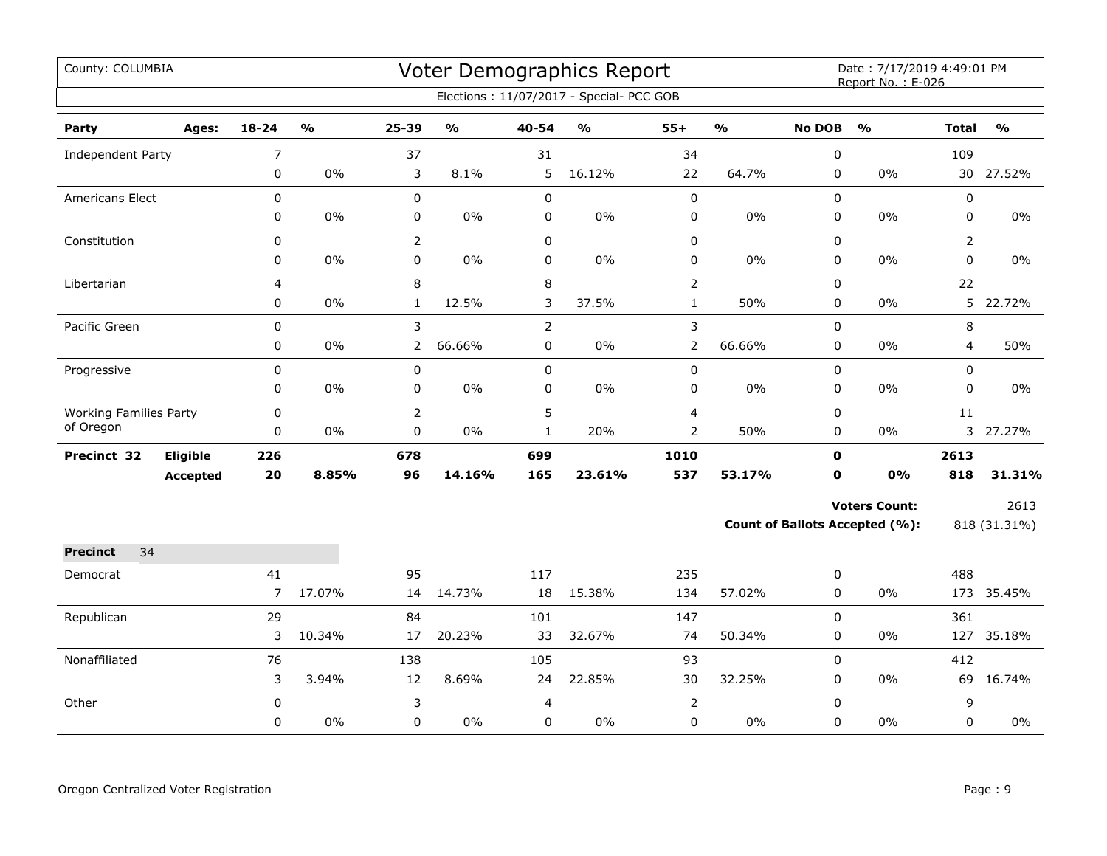| County: COLUMBIA              |                 |                |                         |                |                                   |                | <b>Voter Demographics Report</b><br>Elections: 11/07/2017 - Special- PCC GOB |                |                         |               | Date: 7/17/2019 4:49:01 PM<br>Report No.: E-026 |                |               |
|-------------------------------|-----------------|----------------|-------------------------|----------------|-----------------------------------|----------------|------------------------------------------------------------------------------|----------------|-------------------------|---------------|-------------------------------------------------|----------------|---------------|
|                               |                 |                |                         |                |                                   |                |                                                                              |                |                         |               |                                                 |                |               |
| Party                         | Ages:           | $18 - 24$      | $\mathbf{0}/\mathbf{0}$ | 25-39          | $\mathsf{o}\mathsf{v}_\mathsf{o}$ | 40-54          | $\mathsf{o}\mathsf{v}_\mathsf{o}$                                            | $55+$          | $\mathbf{0}/\mathbf{0}$ | <b>No DOB</b> | $\frac{0}{0}$                                   | <b>Total</b>   | $\frac{0}{0}$ |
| Independent Party             |                 | 7              |                         | 37             |                                   | 31             |                                                                              | 34             |                         | $\pmb{0}$     |                                                 | 109            |               |
|                               |                 | 0              | 0%                      | 3              | 8.1%                              | 5              | 16.12%                                                                       | 22             | 64.7%                   | 0             | 0%                                              |                | 30 27.52%     |
| Americans Elect               |                 | $\mathbf 0$    |                         | 0              |                                   | $\pmb{0}$      |                                                                              | $\pmb{0}$      |                         | 0             |                                                 | 0              |               |
|                               |                 | 0              | 0%                      | 0              | 0%                                | $\pmb{0}$      | $0\%$                                                                        | $\pmb{0}$      | $0\%$                   | 0             | 0%                                              | 0              | 0%            |
| Constitution                  |                 | $\pmb{0}$      |                         | $\overline{2}$ |                                   | $\mathbf 0$    |                                                                              | $\pmb{0}$      |                         | 0             |                                                 | $\overline{2}$ |               |
|                               |                 | $\pmb{0}$      | $0\%$                   | 0              | 0%                                | $\pmb{0}$      | $0\%$                                                                        | $\pmb{0}$      | $0\%$                   | 0             | $0\%$                                           | 0              | $0\%$         |
| Libertarian                   |                 | 4              |                         | 8              |                                   | $\,8\,$        |                                                                              | $\overline{2}$ |                         | 0             |                                                 | 22             |               |
|                               |                 | 0              | $0\%$                   | $\mathbf{1}$   | 12.5%                             | 3              | 37.5%                                                                        | $\mathbf{1}$   | 50%                     | 0             | 0%                                              |                | 5 22.72%      |
| Pacific Green                 |                 | $\mathbf 0$    |                         | 3              |                                   | $\overline{2}$ |                                                                              | $\mathbf{3}$   |                         | 0             |                                                 | 8              |               |
|                               |                 | 0              | 0%                      | $\overline{2}$ | 66.66%                            | 0              | 0%                                                                           | $\overline{2}$ | 66.66%                  | 0             | 0%                                              | 4              | 50%           |
| Progressive                   |                 | 0              |                         | 0              |                                   | $\pmb{0}$      |                                                                              | $\pmb{0}$      |                         | $\mathbf 0$   |                                                 | 0              |               |
|                               |                 | 0              | 0%                      | 0              | 0%                                | $\mathbf 0$    | $0\%$                                                                        | $\pmb{0}$      | $0\%$                   | 0             | 0%                                              | 0              | $0\%$         |
| <b>Working Families Party</b> |                 | $\pmb{0}$      |                         | $\overline{2}$ |                                   | 5              |                                                                              | $\overline{4}$ |                         | 0             |                                                 | 11             |               |
| of Oregon                     |                 | 0              | $0\%$                   | 0              | 0%                                | $\mathbf{1}$   | 20%                                                                          | $\overline{2}$ | 50%                     | 0             | $0\%$                                           |                | 3 27.27%      |
| Precinct 32                   | Eligible        | 226            |                         | 678            |                                   | 699            |                                                                              | 1010           |                         | $\mathbf 0$   |                                                 | 2613           |               |
|                               | <b>Accepted</b> | 20             | 8.85%                   | 96             | 14.16%                            | 165            | 23.61%                                                                       | 537            | 53.17%                  | $\mathbf 0$   | 0%                                              | 818            | 31.31%        |
|                               |                 |                |                         |                |                                   |                |                                                                              |                |                         |               | <b>Voters Count:</b>                            |                | 2613          |
|                               |                 |                |                         |                |                                   |                |                                                                              |                |                         |               | Count of Ballots Accepted (%):                  |                | 818 (31.31%)  |
| 34<br><b>Precinct</b>         |                 |                |                         |                |                                   |                |                                                                              |                |                         |               |                                                 |                |               |
| Democrat                      |                 | 41             |                         | 95             |                                   | 117            |                                                                              | 235            |                         | 0             |                                                 | 488            |               |
|                               |                 | $\overline{7}$ | 17.07%                  | 14             | 14.73%                            | 18             | 15.38%                                                                       | 134            | 57.02%                  | 0             | $0\%$                                           |                | 173 35.45%    |
| Republican                    |                 | 29             |                         | 84             |                                   | 101            |                                                                              | 147            |                         | $\Omega$      |                                                 | 361            |               |
|                               |                 | 3              | 10.34%                  | 17             | 20.23%                            | 33             | 32.67%                                                                       | 74             | 50.34%                  | 0             | 0%                                              | 127            | 35.18%        |
| Nonaffiliated                 |                 | 76             |                         | 138            |                                   | 105            |                                                                              | 93             |                         | 0             |                                                 | 412            |               |
|                               |                 | 3              | 3.94%                   | 12             | 8.69%                             | 24             | 22.85%                                                                       | 30             | 32.25%                  | 0             | $0\%$                                           |                | 69 16.74%     |
| Other                         |                 | $\pmb{0}$      |                         | 3              |                                   | 4              |                                                                              | $\overline{2}$ |                         | $\mathbf 0$   |                                                 | 9              |               |
|                               |                 | 0              | 0%                      | 0              | $0\%$                             | 0              | $0\%$                                                                        | 0              | $0\%$                   | 0             | 0%                                              | 0              | $0\%$         |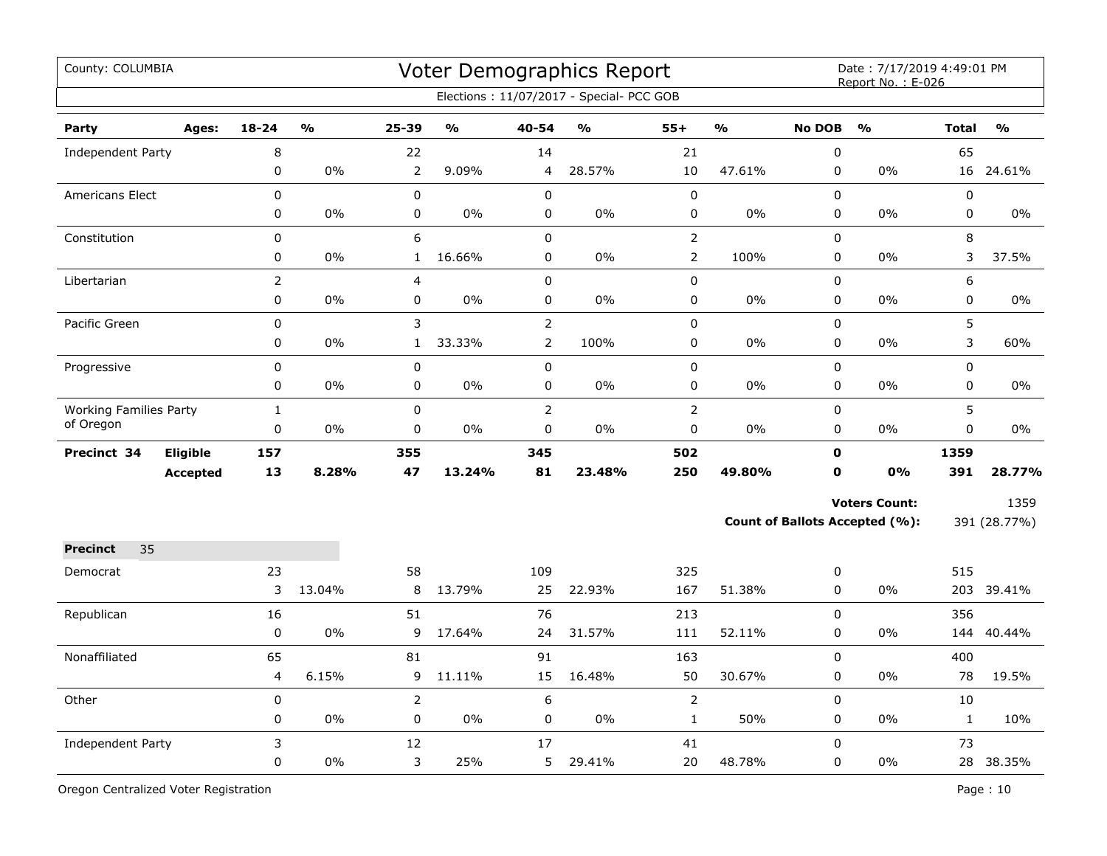| County: COLUMBIA              |                 |                |               |                |               |                | <b>Voter Demographics Report</b><br>Elections: 11/07/2017 - Special- PCC GOB |                |               |               | Date: 7/17/2019 4:49:01 PM<br>Report No.: E-026 |              |               |
|-------------------------------|-----------------|----------------|---------------|----------------|---------------|----------------|------------------------------------------------------------------------------|----------------|---------------|---------------|-------------------------------------------------|--------------|---------------|
| Party                         | Ages:           | $18 - 24$      | $\frac{0}{0}$ | $25 - 39$      | $\frac{0}{0}$ | 40-54          | $\frac{9}{6}$                                                                | $55+$          | $\frac{0}{0}$ | <b>No DOB</b> | $\frac{0}{0}$                                   | <b>Total</b> | $\frac{0}{0}$ |
| Independent Party             |                 | 8              |               | 22             |               | 14             |                                                                              | 21             |               | $\mathbf 0$   |                                                 | 65           |               |
|                               |                 | 0              | 0%            | $\overline{2}$ | 9.09%         | 4              | 28.57%                                                                       | 10             | 47.61%        | $\mathbf 0$   | 0%                                              | 16           | 24.61%        |
| Americans Elect               |                 | 0              |               | 0              |               | $\mathbf 0$    |                                                                              | $\pmb{0}$      |               | $\pmb{0}$     |                                                 | 0            |               |
|                               |                 | 0              | 0%            | 0              | 0%            | 0              | $0\%$                                                                        | $\pmb{0}$      | 0%            | $\mathbf 0$   | 0%                                              | 0            | $0\%$         |
| Constitution                  |                 | $\mathbf 0$    |               | 6              |               | $\mathbf 0$    |                                                                              | $\overline{2}$ |               | 0             |                                                 | 8            |               |
|                               |                 | 0              | 0%            | $\mathbf{1}$   | 16.66%        | 0              | 0%                                                                           | $\overline{2}$ | 100%          | 0             | 0%                                              | 3            | 37.5%         |
| Libertarian                   |                 | $\overline{2}$ |               | 4              |               | $\mathbf 0$    |                                                                              | $\mathbf 0$    |               | $\mathbf 0$   |                                                 | 6            |               |
|                               |                 | 0              | $0\%$         | 0              | 0%            | $\mathbf 0$    | $0\%$                                                                        | 0              | 0%            | 0             | $0\%$                                           | 0            | 0%            |
| Pacific Green                 |                 | 0              |               | 3              |               | $\overline{2}$ |                                                                              | $\pmb{0}$      |               | $\pmb{0}$     |                                                 | 5            |               |
|                               |                 | 0              | 0%            | $\mathbf{1}$   | 33.33%        | $\overline{2}$ | 100%                                                                         | $\pmb{0}$      | 0%            | $\pmb{0}$     | 0%                                              | 3            | 60%           |
| Progressive                   |                 | 0              |               | $\mathbf 0$    |               | $\pmb{0}$      |                                                                              | $\pmb{0}$      |               | 0             |                                                 | 0            |               |
|                               |                 | $\pmb{0}$      | 0%            | 0              | 0%            | $\pmb{0}$      | 0%                                                                           | $\pmb{0}$      | 0%            | $\pmb{0}$     | 0%                                              | 0            | $0\%$         |
| <b>Working Families Party</b> |                 | $\mathbf{1}$   |               | $\mathbf 0$    |               | $\overline{2}$ |                                                                              | $\overline{2}$ |               | $\pmb{0}$     |                                                 | 5            |               |
| of Oregon                     |                 | 0              | 0%            | 0              | 0%            | $\pmb{0}$      | 0%                                                                           | $\pmb{0}$      | 0%            | 0             | 0%                                              | 0            | 0%            |
| Precinct 34                   | Eligible        | 157            |               | 355            |               | 345            |                                                                              | 502            |               | $\mathbf 0$   |                                                 | 1359         |               |
|                               | <b>Accepted</b> | 13             | 8.28%         | 47             | 13.24%        | 81             | 23.48%                                                                       | 250            | 49.80%        | 0             | 0%                                              | 391          | 28.77%        |
|                               |                 |                |               |                |               |                |                                                                              |                |               |               | <b>Voters Count:</b>                            |              | 1359          |
|                               |                 |                |               |                |               |                |                                                                              |                |               |               | <b>Count of Ballots Accepted (%):</b>           |              | 391 (28.77%)  |
| 35<br><b>Precinct</b>         |                 |                |               |                |               |                |                                                                              |                |               |               |                                                 |              |               |
| Democrat                      |                 | 23             |               | 58             |               | 109            |                                                                              | 325            |               | 0             |                                                 | 515          |               |
|                               |                 | 3              | 13.04%        | 8              | 13.79%        | 25             | 22.93%                                                                       | 167            | 51.38%        | $\pmb{0}$     | 0%                                              | 203          | 39.41%        |
| Republican                    |                 | 16             |               | 51             |               | 76             |                                                                              | 213            |               | $\pmb{0}$     |                                                 | 356          |               |
|                               |                 | $\pmb{0}$      | 0%            | 9              | 17.64%        | 24             | 31.57%                                                                       | 111            | 52.11%        | 0             | 0%                                              | 144          | 40.44%        |
| Nonaffiliated                 |                 | 65             |               | 81             |               | 91             |                                                                              | 163            |               | 0             |                                                 | 400          |               |
|                               |                 | 4              | 6.15%         | 9              | 11.11%        | 15             | 16.48%                                                                       | 50             | 30.67%        | 0             | 0%                                              | 78           | 19.5%         |
| Other                         |                 | $\pmb{0}$      |               | $\overline{2}$ |               | 6              |                                                                              | $\overline{2}$ |               | 0             |                                                 | 10           |               |
|                               |                 | 0              | $0\%$         | $\mathbf 0$    | 0%            | $\mathbf 0$    | 0%                                                                           | $\mathbf{1}$   | 50%           | 0             | 0%                                              | $\mathbf{1}$ | 10%           |
| <b>Independent Party</b>      |                 | 3              |               | 12             |               | 17             |                                                                              | 41             |               | 0             |                                                 | 73           |               |
|                               |                 | 0              | $0\%$         | 3              | 25%           | 5              | 29.41%                                                                       | 20             | 48.78%        | 0             | 0%                                              |              | 28 38.35%     |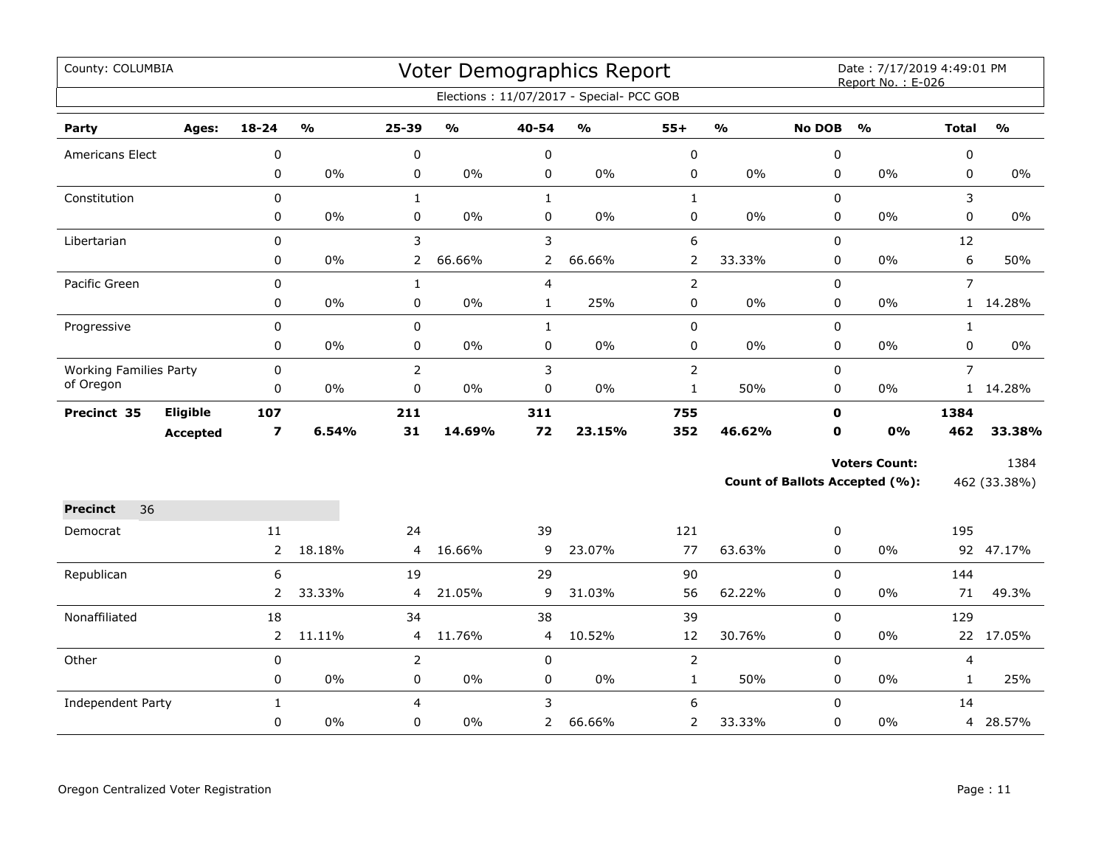| County: COLUMBIA              |                 |                         |        |                |               |                | Voter Demographics Report                |                |        |               | Date: 7/17/2019 4:49:01 PM<br>Report No.: E-026 |                |               |
|-------------------------------|-----------------|-------------------------|--------|----------------|---------------|----------------|------------------------------------------|----------------|--------|---------------|-------------------------------------------------|----------------|---------------|
|                               |                 |                         |        |                |               |                | Elections: 11/07/2017 - Special- PCC GOB |                |        |               |                                                 |                |               |
| Party                         | Ages:           | 18-24                   | %      | 25-39          | $\frac{1}{2}$ | 40-54          | $\frac{1}{2}$                            | $55+$          | %      | <b>No DOB</b> | $\frac{1}{2}$                                   | <b>Total</b>   | $\frac{0}{0}$ |
| <b>Americans Elect</b>        |                 | 0                       |        | 0              |               | 0              |                                          | 0              |        | 0             |                                                 | 0              |               |
|                               |                 | 0                       | 0%     | 0              | 0%            | 0              | 0%                                       | 0              | 0%     | 0             | 0%                                              | 0              | 0%            |
| Constitution                  |                 | 0                       |        | $\mathbf{1}$   |               | $\mathbf{1}$   |                                          | $\mathbf{1}$   |        | 0             |                                                 | 3              |               |
|                               |                 | 0                       | 0%     | 0              | $0\%$         | 0              | 0%                                       | 0              | 0%     | 0             | 0%                                              | 0              | 0%            |
| Libertarian                   |                 | 0                       |        | 3              |               | 3              |                                          | 6              |        | $\mathbf 0$   |                                                 | 12             |               |
|                               |                 | 0                       | 0%     | $\overline{2}$ | 66.66%        | $\overline{2}$ | 66.66%                                   | $\overline{2}$ | 33.33% | $\mathbf 0$   | 0%                                              | 6              | 50%           |
| Pacific Green                 |                 | $\boldsymbol{0}$        |        | $\mathbf{1}$   |               | $\overline{4}$ |                                          | $\overline{2}$ |        | 0             |                                                 | $\overline{7}$ |               |
|                               |                 | 0                       | 0%     | 0              | 0%            | $\mathbf{1}$   | 25%                                      | 0              | 0%     | $\mathbf 0$   | 0%                                              |                | 1 14.28%      |
| Progressive                   |                 | 0                       |        | $\pmb{0}$      |               | $\mathbf{1}$   |                                          | 0              |        | $\pmb{0}$     |                                                 | $\mathbf{1}$   |               |
|                               |                 | 0                       | $0\%$  | 0              | $0\%$         | $\mathsf 0$    | $0\%$                                    | 0              | $0\%$  | $\pmb{0}$     | 0%                                              | 0              | $0\%$         |
| <b>Working Families Party</b> |                 | 0                       |        | $\overline{2}$ |               | 3              |                                          | $\overline{2}$ |        | 0             |                                                 | $\overline{7}$ |               |
| of Oregon                     |                 | 0                       | 0%     | $\mathbf 0$    | 0%            | $\mathbf 0$    | 0%                                       | $\mathbf{1}$   | 50%    | $\pmb{0}$     | 0%                                              |                | 1 14.28%      |
| Precinct 35                   | Eligible        | 107                     |        | 211            |               | 311            |                                          | 755            |        | $\mathbf 0$   |                                                 | 1384           |               |
|                               | <b>Accepted</b> | $\overline{\mathbf{z}}$ | 6.54%  | 31             | 14.69%        | 72             | 23.15%                                   | 352            | 46.62% | 0             | 0%                                              | 462            | 33.38%        |
|                               |                 |                         |        |                |               |                |                                          |                |        |               | <b>Voters Count:</b>                            |                | 1384          |
|                               |                 |                         |        |                |               |                |                                          |                |        |               | <b>Count of Ballots Accepted (%):</b>           |                | 462 (33.38%)  |
| <b>Precinct</b><br>36         |                 |                         |        |                |               |                |                                          |                |        |               |                                                 |                |               |
| Democrat                      |                 | 11                      |        | 24             |               | 39             |                                          | 121            |        | 0             |                                                 | 195            |               |
|                               |                 | $\overline{2}$          | 18.18% | 4              | 16.66%        | 9              | 23.07%                                   | 77             | 63.63% | 0             | 0%                                              |                | 92 47.17%     |
| Republican                    |                 | 6                       |        | 19             |               | 29             |                                          | 90             |        | 0             |                                                 | 144            |               |
|                               |                 | $\overline{2}$          | 33.33% | 4              | 21.05%        | 9              | 31.03%                                   | 56             | 62.22% | $\Omega$      | 0%                                              | 71             | 49.3%         |
| Nonaffiliated                 |                 | 18                      |        | 34             |               | 38             |                                          | 39             |        | $\mathbf 0$   |                                                 | 129            |               |
|                               |                 | 2                       | 11.11% | 4              | 11.76%        | 4              | 10.52%                                   | 12             | 30.76% | 0             | 0%                                              |                | 22 17.05%     |
| Other                         |                 | 0                       |        | $\overline{2}$ |               | $\pmb{0}$      |                                          | $\overline{2}$ |        | $\pmb{0}$     |                                                 | 4              |               |
|                               |                 | 0                       | 0%     | 0              | $0\%$         | 0              | $0\%$                                    | $\mathbf 1$    | 50%    | $\pmb{0}$     | 0%                                              | $\mathbf{1}$   | 25%           |
| <b>Independent Party</b>      |                 | $\mathbf{1}$            |        | $\overline{4}$ |               | 3              |                                          | 6              |        | $\Omega$      |                                                 | 14             |               |
|                               |                 | 0                       | 0%     | 0              | $0\%$         | $\mathbf{2}$   | 66.66%                                   | 2              | 33.33% | 0             | 0%                                              |                | 4 28.57%      |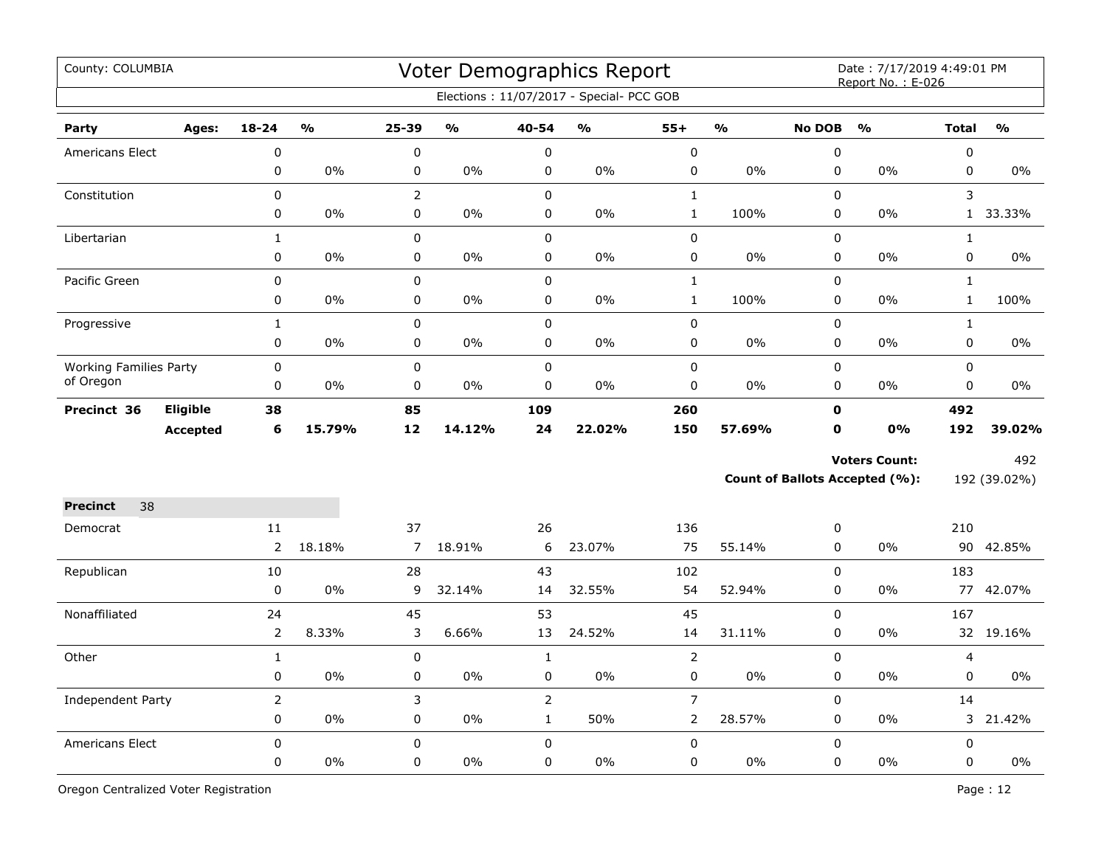| County: COLUMBIA                           |                 |                |                                   |                |               |                | Voter Demographics Report<br>Elections: 11/07/2017 - Special- PCC GOB |                |                         |               | Date: 7/17/2019 4:49:01 PM<br>Report No.: E-026 |                |               |
|--------------------------------------------|-----------------|----------------|-----------------------------------|----------------|---------------|----------------|-----------------------------------------------------------------------|----------------|-------------------------|---------------|-------------------------------------------------|----------------|---------------|
| Party                                      | Ages:           | $18 - 24$      | $\mathsf{o}\mathsf{v}_\mathsf{o}$ | 25-39          | $\frac{0}{0}$ | 40-54          | %                                                                     | $55+$          | $\mathbf{O}/\mathbf{o}$ | <b>No DOB</b> | $\frac{1}{2}$                                   | <b>Total</b>   | $\frac{0}{0}$ |
| <b>Americans Elect</b>                     |                 | $\mathbf 0$    |                                   | 0              |               | $\pmb{0}$      |                                                                       | $\mathbf 0$    |                         | 0             |                                                 | $\pmb{0}$      |               |
|                                            |                 | 0              | 0%                                | 0              | 0%            | $\pmb{0}$      | 0%                                                                    | 0              | 0%                      | 0             | 0%                                              | $\pmb{0}$      | 0%            |
| Constitution                               |                 | 0              |                                   | $\overline{2}$ |               | $\pmb{0}$      |                                                                       | $\mathbf 1$    |                         | 0             |                                                 | 3              |               |
|                                            |                 | 0              | 0%                                | 0              | $0\%$         | $\mathbf 0$    | 0%                                                                    | $\mathbf 1$    | 100%                    | 0             | 0%                                              |                | 1 33.33%      |
| Libertarian                                |                 | $\mathbf 1$    |                                   | 0              |               | $\pmb{0}$      |                                                                       | 0              |                         | $\pmb{0}$     |                                                 | $\mathbf{1}$   |               |
|                                            |                 | 0              | 0%                                | 0              | $0\%$         | 0              | 0%                                                                    | 0              | 0%                      | 0             | 0%                                              | 0              | $0\%$         |
| Pacific Green                              |                 | 0              |                                   | 0              |               | $\mathbf 0$    |                                                                       | $\mathbf 1$    |                         | $\Omega$      |                                                 | $\mathbf{1}$   |               |
|                                            |                 | 0              | 0%                                | 0              | $0\%$         | $\mathbf 0$    | $0\%$                                                                 | $\mathbf{1}$   | 100%                    | 0             | 0%                                              | $\mathbf{1}$   | 100%          |
| Progressive                                |                 | $\mathbf{1}$   |                                   | 0              |               | $\mathbf 0$    |                                                                       | 0              |                         | 0             |                                                 | $\mathbf{1}$   |               |
|                                            |                 | 0              | 0%                                | 0              | 0%            | 0              | $0\%$                                                                 | 0              | $0\%$                   | 0             | 0%                                              | 0              | $0\%$         |
| <b>Working Families Party</b><br>of Oregon |                 | $\mathbf 0$    |                                   | 0              |               | $\mathbf 0$    |                                                                       | 0              |                         | 0             |                                                 | $\mathbf 0$    |               |
|                                            |                 | $\pmb{0}$      | $0\%$                             | 0              | $0\%$         | $\pmb{0}$      | 0%                                                                    | 0              | 0%                      | 0             | 0%                                              | $\pmb{0}$      | $0\%$         |
| Precinct 36                                | Eligible        | 38             |                                   | 85             |               | 109            |                                                                       | 260            |                         | $\mathbf 0$   |                                                 | 492            |               |
|                                            | <b>Accepted</b> | 6              | 15.79%                            | 12             | 14.12%        | 24             | 22.02%                                                                | 150            | 57.69%                  | $\mathbf 0$   | 0%                                              | 192            | 39.02%        |
|                                            |                 |                |                                   |                |               |                |                                                                       |                |                         |               | <b>Voters Count:</b>                            |                | 492           |
|                                            |                 |                |                                   |                |               |                |                                                                       |                |                         |               | <b>Count of Ballots Accepted (%):</b>           |                | 192 (39.02%)  |
| 38<br><b>Precinct</b>                      |                 |                |                                   |                |               |                |                                                                       |                |                         |               |                                                 |                |               |
| Democrat                                   |                 | 11             |                                   | 37             |               | 26             |                                                                       | 136            |                         | 0             |                                                 | 210            |               |
|                                            |                 | $\overline{2}$ | 18.18%                            | $\overline{7}$ | 18.91%        | 6              | 23.07%                                                                | 75             | 55.14%                  | 0             | 0%                                              |                | 90 42.85%     |
| Republican                                 |                 | 10             |                                   | 28             |               | 43             |                                                                       | 102            |                         | 0             |                                                 | 183            |               |
|                                            |                 | $\mathbf 0$    | 0%                                | 9              | 32.14%        | 14             | 32.55%                                                                | 54             | 52.94%                  | 0             | 0%                                              |                | 77 42.07%     |
| Nonaffiliated                              |                 | 24             |                                   | 45             |               | 53             |                                                                       | 45             |                         | 0             |                                                 | 167            |               |
|                                            |                 | $\overline{2}$ | 8.33%                             | 3              | 6.66%         | 13             | 24.52%                                                                | 14             | 31.11%                  | 0             | 0%                                              |                | 32 19.16%     |
| Other                                      |                 | $\mathbf{1}$   |                                   | $\pmb{0}$      |               | $\mathbf{1}$   |                                                                       | $\overline{2}$ |                         | 0             |                                                 | $\overline{4}$ |               |
|                                            |                 | 0              | 0%                                | 0              | 0%            | $\pmb{0}$      | 0%                                                                    | 0              | 0%                      | $\pmb{0}$     | 0%                                              | 0              | 0%            |
| Independent Party                          |                 | $\overline{2}$ |                                   | 3              |               | $\overline{2}$ |                                                                       | $\overline{7}$ |                         | $\pmb{0}$     |                                                 | 14             |               |
|                                            |                 | 0              | 0%                                | $\mathbf 0$    | $0\%$         | $\mathbf 1$    | 50%                                                                   | $\overline{2}$ | 28.57%                  | 0             | 0%                                              |                | 3 21.42%      |
| Americans Elect                            |                 | $\Omega$       |                                   | $\Omega$       |               | $\pmb{0}$      |                                                                       | 0              |                         | $\Omega$      |                                                 | $\pmb{0}$      |               |
|                                            |                 | 0              | 0%                                | 0              | $0\%$         | $\mathbf 0$    | 0%                                                                    | 0              | 0%                      | 0             | 0%                                              | $\mathbf 0$    | 0%            |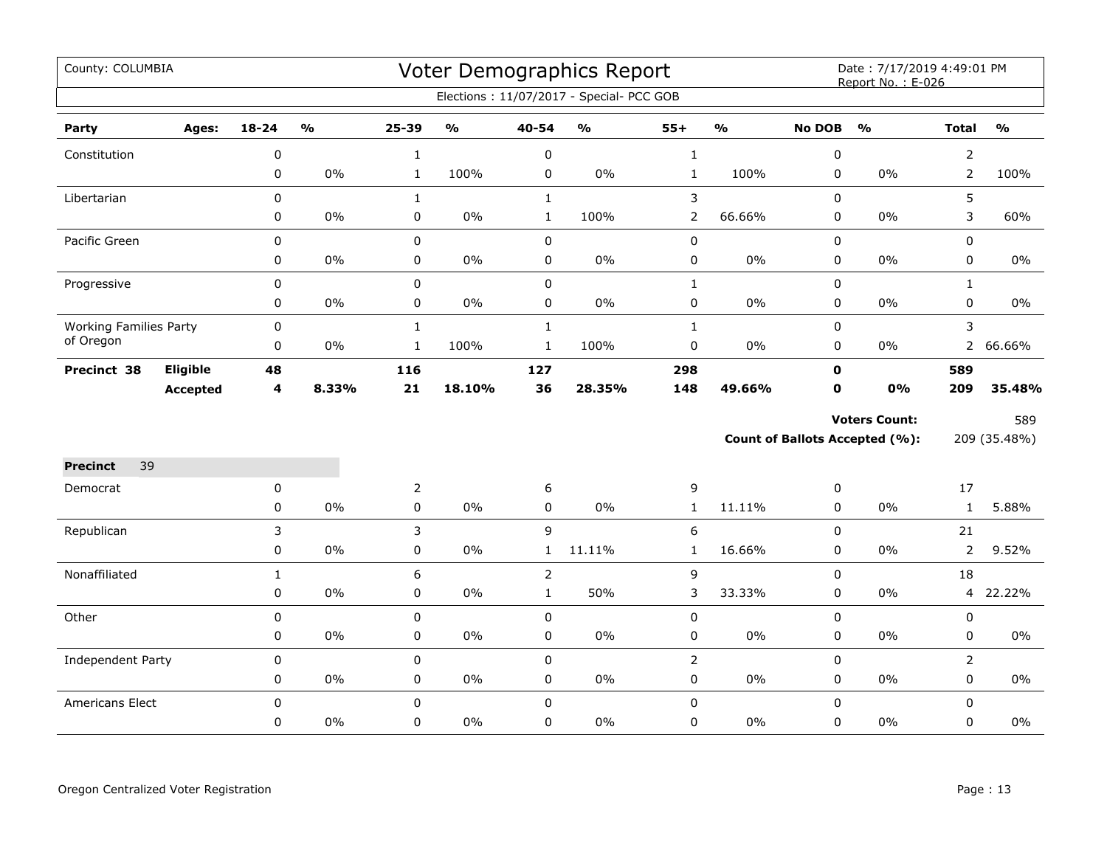| County: COLUMBIA              |                 |              |                         |                |                                   |                | Voter Demographics Report                |                |               |               | Date: 7/17/2019 4:49:01 PM<br>Report No.: E-026 |                |               |
|-------------------------------|-----------------|--------------|-------------------------|----------------|-----------------------------------|----------------|------------------------------------------|----------------|---------------|---------------|-------------------------------------------------|----------------|---------------|
|                               |                 |              |                         |                |                                   |                | Elections: 11/07/2017 - Special- PCC GOB |                |               |               |                                                 |                |               |
| Party                         | Ages:           | $18 - 24$    | $\mathbf{0}/\mathbf{0}$ | 25-39          | $\mathsf{o}\mathsf{v}_\mathsf{o}$ | 40-54          | $\mathsf{o}\mathsf{v}_\mathsf{o}$        | $55+$          | $\frac{0}{0}$ | <b>No DOB</b> | $\mathbf{O}/\mathbf{o}$                         | <b>Total</b>   | $\frac{0}{0}$ |
| Constitution                  |                 | 0            |                         | $\mathbf 1$    |                                   | $\pmb{0}$      |                                          | $\mathbf 1$    |               | 0             |                                                 | $\overline{2}$ |               |
|                               |                 | 0            | $0\%$                   | $\mathbf{1}$   | 100%                              | $\pmb{0}$      | 0%                                       | $\mathbf 1$    | 100%          | 0             | 0%                                              | $\overline{2}$ | 100%          |
| Libertarian                   |                 | 0            |                         | $\mathbf{1}$   |                                   | $\mathbf{1}$   |                                          | $\mathsf 3$    |               | $\Omega$      |                                                 | 5              |               |
|                               |                 | 0            | 0%                      | 0              | 0%                                | $\mathbf{1}$   | 100%                                     | $\overline{2}$ | 66.66%        | 0             | 0%                                              | 3              | 60%           |
| Pacific Green                 |                 | 0            |                         | 0              |                                   | $\pmb{0}$      |                                          | $\pmb{0}$      |               | 0             |                                                 | 0              |               |
|                               |                 | 0            | $0\%$                   | 0              | $0\%$                             | $\pmb{0}$      | $0\%$                                    | $\pmb{0}$      | 0%            | 0             | 0%                                              | $\mathbf 0$    | $0\%$         |
| Progressive                   |                 | 0            |                         | 0              |                                   | $\pmb{0}$      |                                          | $\mathbf{1}$   |               | 0             |                                                 | $\mathbf{1}$   |               |
|                               |                 | 0            | $0\%$                   | 0              | $0\%$                             | $\pmb{0}$      | $0\%$                                    | $\pmb{0}$      | 0%            | 0             | $0\%$                                           | 0              | 0%            |
| <b>Working Families Party</b> |                 | $\pmb{0}$    |                         | $\mathbf{1}$   |                                   | $\mathbf{1}$   |                                          | $\mathbf{1}$   |               | 0             |                                                 | 3              |               |
| of Oregon                     |                 | 0            | $0\%$                   | $\mathbf{1}$   | 100%                              | $\mathbf{1}$   | 100%                                     | $\pmb{0}$      | 0%            | 0             | $0\%$                                           | $\mathbf{2}$   | 66.66%        |
| Precinct 38                   | <b>Eligible</b> | 48           |                         | 116            |                                   | 127            |                                          | 298            |               | $\mathbf 0$   |                                                 | 589            |               |
|                               | <b>Accepted</b> | 4            | 8.33%                   | 21             | 18.10%                            | 36             | 28.35%                                   | 148            | 49.66%        | $\mathbf 0$   | 0%                                              | 209            | 35.48%        |
|                               |                 |              |                         |                |                                   |                |                                          |                |               |               | <b>Voters Count:</b>                            |                | 589           |
|                               |                 |              |                         |                |                                   |                |                                          |                |               |               | Count of Ballots Accepted (%):                  |                | 209 (35.48%)  |
| <b>Precinct</b><br>39         |                 |              |                         |                |                                   |                |                                          |                |               |               |                                                 |                |               |
| Democrat                      |                 | 0            |                         | $\overline{2}$ |                                   | 6              |                                          | 9              |               | 0             |                                                 | 17             |               |
|                               |                 | 0            | $0\%$                   | 0              | $0\%$                             | $\mathsf 0$    | $0\%$                                    | $\mathbf{1}$   | 11.11%        | 0             | 0%                                              | $\mathbf{1}$   | 5.88%         |
| Republican                    |                 | 3            |                         | 3              |                                   | 9              |                                          | 6              |               | $\mathbf 0$   |                                                 | 21             |               |
|                               |                 | 0            | $0\%$                   | 0              | $0\%$                             | $\mathbf{1}$   | 11.11%                                   | $\mathbf{1}$   | 16.66%        | 0             | 0%                                              | 2              | 9.52%         |
| Nonaffiliated                 |                 | $\mathbf{1}$ |                         | 6              |                                   | $\overline{2}$ |                                          | $\mathsf 9$    |               | 0             |                                                 | 18             |               |
|                               |                 | 0            | $0\%$                   | 0              | $0\%$                             | $\mathbf{1}$   | 50%                                      | 3              | 33.33%        | 0             | 0%                                              |                | 4 22.22%      |
| Other                         |                 | 0            |                         | 0              |                                   | $\pmb{0}$      |                                          | $\pmb{0}$      |               | 0             |                                                 | 0              |               |
|                               |                 | 0            | $0\%$                   | 0              | $0\%$                             | 0              | $0\%$                                    | 0              | 0%            | 0             | $0\%$                                           | 0              | 0%            |
| <b>Independent Party</b>      |                 | $\pmb{0}$    |                         | 0              |                                   | $\pmb{0}$      |                                          | $\overline{2}$ |               | 0             |                                                 | $\overline{2}$ |               |
|                               |                 | 0            | $0\%$                   | 0              | $0\%$                             | $\pmb{0}$      | $0\%$                                    | $\pmb{0}$      | 0%            | 0             | 0%                                              | 0              | $0\%$         |
| Americans Elect               |                 | $\mathbf 0$  |                         | 0              |                                   | $\mathbf 0$    |                                          | $\pmb{0}$      |               | 0             |                                                 | $\mathbf 0$    |               |
|                               |                 | 0            | 0%                      | 0              | $0\%$                             | $\mathbf 0$    | $0\%$                                    | $\pmb{0}$      | 0%            | 0             | $0\%$                                           | 0              | 0%            |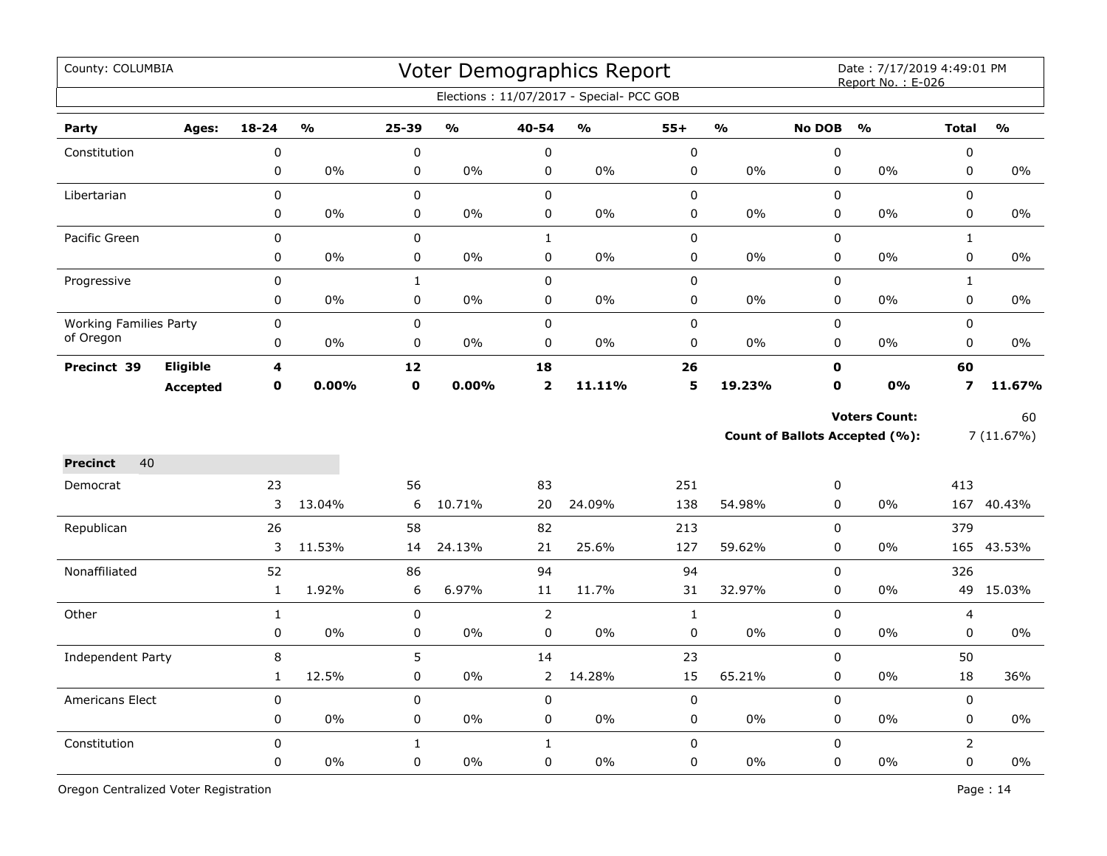| County: COLUMBIA              |                 |                  |                         |              |        |                                                                                                                                                                                                                                                                                                                                                                                                                                                                                                                                                                                                                                                                                                                                                                                                                                                                                                                 |    |              |               |               | Date: 7/17/2019 4:49:01 PM<br>Report No.: E-026 |                |                 |
|-------------------------------|-----------------|------------------|-------------------------|--------------|--------|-----------------------------------------------------------------------------------------------------------------------------------------------------------------------------------------------------------------------------------------------------------------------------------------------------------------------------------------------------------------------------------------------------------------------------------------------------------------------------------------------------------------------------------------------------------------------------------------------------------------------------------------------------------------------------------------------------------------------------------------------------------------------------------------------------------------------------------------------------------------------------------------------------------------|----|--------------|---------------|---------------|-------------------------------------------------|----------------|-----------------|
|                               |                 |                  |                         |              |        |                                                                                                                                                                                                                                                                                                                                                                                                                                                                                                                                                                                                                                                                                                                                                                                                                                                                                                                 |    |              |               |               |                                                 |                |                 |
| Party                         | Ages:           | $18 - 24$        | $\mathbf{O}/\mathbf{O}$ | 25-39        | %      | 40-54                                                                                                                                                                                                                                                                                                                                                                                                                                                                                                                                                                                                                                                                                                                                                                                                                                                                                                           | %  | $55+$        | $\frac{0}{0}$ | <b>No DOB</b> | O/2                                             | <b>Total</b>   | $\frac{0}{0}$   |
| Constitution                  |                 | $\pmb{0}$        |                         | $\pmb{0}$    |        | $\mathbf 0$                                                                                                                                                                                                                                                                                                                                                                                                                                                                                                                                                                                                                                                                                                                                                                                                                                                                                                     |    | $\mathbf 0$  |               | $\mathbf 0$   |                                                 | $\mathbf 0$    |                 |
|                               |                 | 0                | 0%                      | $\mathbf 0$  | 0%     | 0                                                                                                                                                                                                                                                                                                                                                                                                                                                                                                                                                                                                                                                                                                                                                                                                                                                                                                               | 0% | 0            | 0%            | $\mathbf 0$   | 0%                                              | $\pmb{0}$      | $0\%$           |
| Libertarian                   |                 | 0                |                         | $\mathbf 0$  |        | $\mathbf 0$                                                                                                                                                                                                                                                                                                                                                                                                                                                                                                                                                                                                                                                                                                                                                                                                                                                                                                     |    | 0            |               | $\mathbf 0$   |                                                 | $\mathbf 0$    |                 |
|                               |                 | 0                | 0%                      | $\mathsf 0$  | 0%     | 0                                                                                                                                                                                                                                                                                                                                                                                                                                                                                                                                                                                                                                                                                                                                                                                                                                                                                                               | 0% | 0            | $0\%$         | $\pmb{0}$     | $0\%$                                           | $\mathbf 0$    | $0\%$           |
| Pacific Green                 |                 | 0                |                         | $\mathsf 0$  |        | $\mathbf{1}$                                                                                                                                                                                                                                                                                                                                                                                                                                                                                                                                                                                                                                                                                                                                                                                                                                                                                                    |    | 0            |               | $\mathbf 0$   |                                                 | $\mathbf{1}$   |                 |
|                               |                 | 0                | 0%                      | 0            | 0%     | 0                                                                                                                                                                                                                                                                                                                                                                                                                                                                                                                                                                                                                                                                                                                                                                                                                                                                                                               | 0% | 0            | 0%            | $\pmb{0}$     | 0%                                              | 0              | 0%              |
| Progressive                   |                 | 0                |                         | $\mathbf{1}$ |        | Voter Demographics Report<br>Elections: 11/07/2017 - Special- PCC GOB<br>$\mathbf 0$<br>0<br>$\mathsf 0$<br>$\mathbf 0$<br>0<br>0%<br>0<br>$0\%$<br>$\pmb{0}$<br>$\mathbf 0$<br>$\pmb{0}$<br>0%<br>$\mathbf 0$<br>$0\%$<br>$\pmb{0}$<br>0<br>18<br>26<br>$\mathbf 0$<br>$\overline{\mathbf{2}}$<br>5<br>19.23%<br>$\mathbf{O}$<br>11.11%<br><b>Voters Count:</b><br>Count of Ballots Accepted (%):<br>83<br>251<br>0<br>24.09%<br>138<br>$\mathbf 0$<br>20<br>54.98%<br>$\mathbf 0$<br>82<br>213<br>21<br>25.6%<br>127<br>59.62%<br>$\mathbf 0$<br>94<br>94<br>$\Omega$<br>11.7%<br>31<br>32.97%<br>$\mathbf 0$<br>11<br>$\overline{2}$<br>$\mathbf 0$<br>$\mathbf{1}$<br>0<br>0%<br>$\pmb{0}$<br>0%<br>$\pmb{0}$<br>14<br>23<br>$\mathsf 0$<br>15<br>$\overline{2}$<br>14.28%<br>65.21%<br>$\mathbf 0$<br>$\mathbf 0$<br>$\mathbf 0$<br>$\mathsf 0$<br>0%<br>$0\%$<br>0<br>0<br>0<br>$1\,$<br>0<br>$\mathsf 0$ |    | $\mathbf{1}$ |               |               |                                                 |                |                 |
|                               |                 | 0                | 0%                      | $\mathbf 0$  | 0%     |                                                                                                                                                                                                                                                                                                                                                                                                                                                                                                                                                                                                                                                                                                                                                                                                                                                                                                                 |    |              |               |               | $0\%$                                           | $\pmb{0}$      | 0%              |
| <b>Working Families Party</b> |                 | 0                |                         | $\pmb{0}$    |        |                                                                                                                                                                                                                                                                                                                                                                                                                                                                                                                                                                                                                                                                                                                                                                                                                                                                                                                 |    |              |               |               |                                                 | $\mathbf 0$    |                 |
| of Oregon                     |                 | 0                | 0%                      | $\pmb{0}$    | 0%     |                                                                                                                                                                                                                                                                                                                                                                                                                                                                                                                                                                                                                                                                                                                                                                                                                                                                                                                 |    |              |               |               | $0\%$                                           | $\pmb{0}$      | 0%              |
| Precinct 39                   | Eligible        | 4                |                         | 12           |        |                                                                                                                                                                                                                                                                                                                                                                                                                                                                                                                                                                                                                                                                                                                                                                                                                                                                                                                 |    |              |               |               |                                                 | 60             |                 |
|                               | <b>Accepted</b> | $\mathbf 0$      | 0.00%                   | $\pmb{0}$    | 0.00%  |                                                                                                                                                                                                                                                                                                                                                                                                                                                                                                                                                                                                                                                                                                                                                                                                                                                                                                                 |    |              |               |               | 0%                                              | 7              | 11.67%          |
|                               |                 |                  |                         |              |        |                                                                                                                                                                                                                                                                                                                                                                                                                                                                                                                                                                                                                                                                                                                                                                                                                                                                                                                 |    |              |               |               |                                                 |                | 60<br>7(11.67%) |
| 40<br><b>Precinct</b>         |                 |                  |                         |              |        |                                                                                                                                                                                                                                                                                                                                                                                                                                                                                                                                                                                                                                                                                                                                                                                                                                                                                                                 |    |              |               |               |                                                 |                |                 |
| Democrat                      |                 | 23               |                         | 56           |        |                                                                                                                                                                                                                                                                                                                                                                                                                                                                                                                                                                                                                                                                                                                                                                                                                                                                                                                 |    |              |               |               |                                                 | 413            |                 |
|                               |                 | 3                | 13.04%                  | 6            | 10.71% |                                                                                                                                                                                                                                                                                                                                                                                                                                                                                                                                                                                                                                                                                                                                                                                                                                                                                                                 |    |              |               |               | 0%                                              |                | 167 40.43%      |
| Republican                    |                 | 26               |                         | 58           |        |                                                                                                                                                                                                                                                                                                                                                                                                                                                                                                                                                                                                                                                                                                                                                                                                                                                                                                                 |    |              |               |               |                                                 | 379            |                 |
|                               |                 | 3                | 11.53%                  | 14           | 24.13% |                                                                                                                                                                                                                                                                                                                                                                                                                                                                                                                                                                                                                                                                                                                                                                                                                                                                                                                 |    |              |               |               | 0%                                              |                | 165 43.53%      |
| Nonaffiliated                 |                 | 52               |                         | 86           |        |                                                                                                                                                                                                                                                                                                                                                                                                                                                                                                                                                                                                                                                                                                                                                                                                                                                                                                                 |    |              |               |               |                                                 | 326            |                 |
|                               |                 | $\mathbf{1}$     | 1.92%                   | 6            | 6.97%  |                                                                                                                                                                                                                                                                                                                                                                                                                                                                                                                                                                                                                                                                                                                                                                                                                                                                                                                 |    |              |               |               | $0\%$                                           | 49             | 15.03%          |
| Other                         |                 | $\mathbf{1}$     |                         | $\mathsf 0$  |        |                                                                                                                                                                                                                                                                                                                                                                                                                                                                                                                                                                                                                                                                                                                                                                                                                                                                                                                 |    |              |               |               |                                                 | 4              |                 |
|                               |                 | $\boldsymbol{0}$ | 0%                      | $\mathbf 0$  | 0%     |                                                                                                                                                                                                                                                                                                                                                                                                                                                                                                                                                                                                                                                                                                                                                                                                                                                                                                                 |    |              |               |               | 0%                                              | $\pmb{0}$      | 0%              |
| Independent Party             |                 | 8                |                         | 5            |        |                                                                                                                                                                                                                                                                                                                                                                                                                                                                                                                                                                                                                                                                                                                                                                                                                                                                                                                 |    |              |               |               |                                                 | 50             |                 |
|                               |                 | $\mathbf{1}$     | 12.5%                   | $\mathsf 0$  | $0\%$  |                                                                                                                                                                                                                                                                                                                                                                                                                                                                                                                                                                                                                                                                                                                                                                                                                                                                                                                 |    |              |               |               | 0%                                              | 18             | 36%             |
| <b>Americans Elect</b>        |                 | 0                |                         | $\mathsf 0$  |        |                                                                                                                                                                                                                                                                                                                                                                                                                                                                                                                                                                                                                                                                                                                                                                                                                                                                                                                 |    |              |               |               |                                                 | $\pmb{0}$      |                 |
|                               |                 | 0                | $0\%$                   | 0            | $0\%$  |                                                                                                                                                                                                                                                                                                                                                                                                                                                                                                                                                                                                                                                                                                                                                                                                                                                                                                                 |    |              |               |               | $0\%$                                           | 0              | $0\%$           |
| Constitution                  |                 | 0                |                         | $\mathbf{1}$ |        |                                                                                                                                                                                                                                                                                                                                                                                                                                                                                                                                                                                                                                                                                                                                                                                                                                                                                                                 |    |              |               |               |                                                 | $\overline{2}$ |                 |
|                               |                 | 0                | 0%                      | $\mathsf 0$  | 0%     | 0                                                                                                                                                                                                                                                                                                                                                                                                                                                                                                                                                                                                                                                                                                                                                                                                                                                                                                               | 0% | 0            | 0%            | $\pmb{0}$     | 0%                                              | $\mathbf 0$    | 0%              |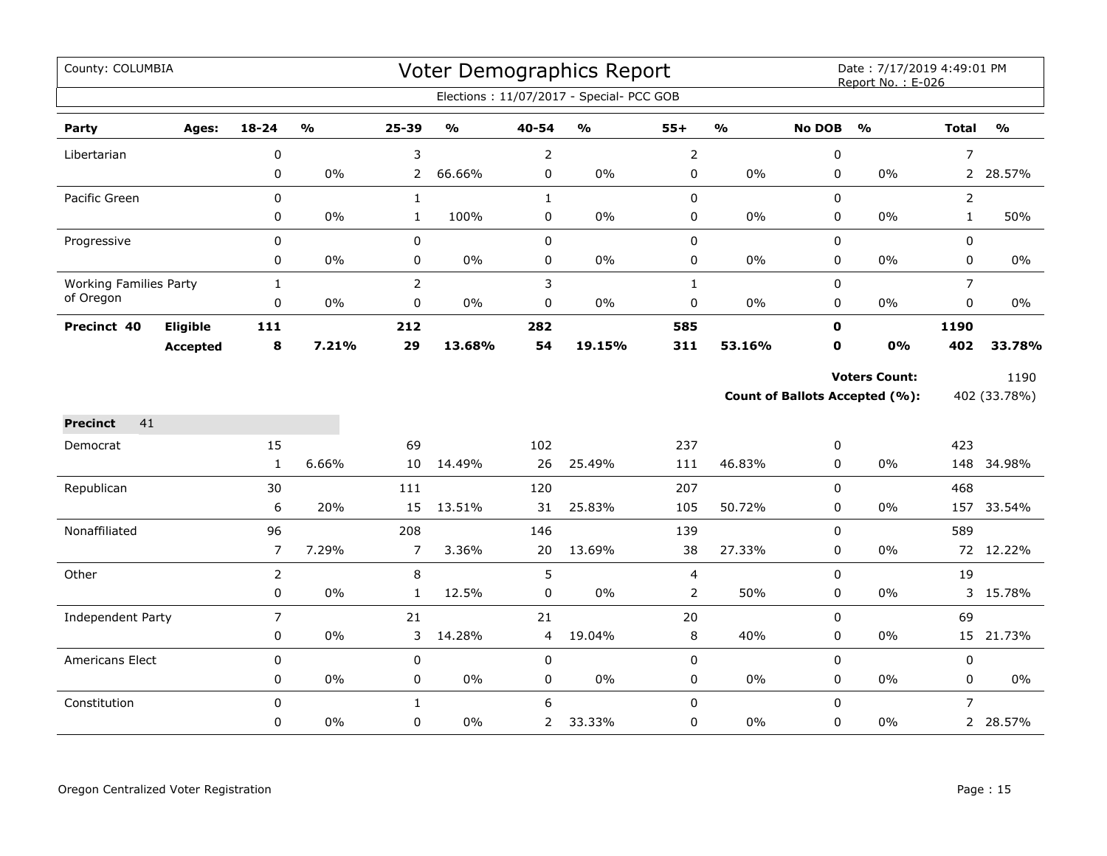| County: COLUMBIA              |                 |                |                         |                |                                   |                | Voter Demographics Report                |                |               |               | Date: 7/17/2019 4:49:01 PM<br>Report No.: E-026 |                |               |
|-------------------------------|-----------------|----------------|-------------------------|----------------|-----------------------------------|----------------|------------------------------------------|----------------|---------------|---------------|-------------------------------------------------|----------------|---------------|
|                               |                 |                |                         |                |                                   |                | Elections: 11/07/2017 - Special- PCC GOB |                |               |               |                                                 |                |               |
| Party                         | Ages:           | 18-24          | $\mathbf{O}/\mathbf{o}$ | 25-39          | $\mathsf{o}\mathsf{v}_\mathsf{o}$ | 40-54          | $\mathsf{o}\mathsf{v}_\mathsf{o}$        | $55+$          | $\frac{9}{6}$ | <b>No DOB</b> | $\frac{0}{0}$                                   | <b>Total</b>   | $\frac{0}{0}$ |
| Libertarian                   |                 | 0              |                         | 3              |                                   | $\overline{2}$ |                                          | $\mathsf{2}\,$ |               | $\pmb{0}$     |                                                 | $\overline{7}$ |               |
|                               |                 | $\mathbf 0$    | 0%                      | $\overline{2}$ | 66.66%                            | 0              | $0\%$                                    | $\pmb{0}$      | $0\%$         | 0             | 0%                                              |                | 2 28.57%      |
| Pacific Green                 |                 | 0              |                         | $\mathbf 1$    |                                   | $\mathbf{1}$   |                                          | 0              |               | $\pmb{0}$     |                                                 | $\overline{2}$ |               |
|                               |                 | 0              | $0\%$                   | $\mathbf{1}$   | 100%                              | 0              | $0\%$                                    | 0              | 0%            | 0             | $0\%$                                           | $\mathbf{1}$   | 50%           |
| Progressive                   |                 | 0              |                         | $\pmb{0}$      |                                   | $\mathbf 0$    |                                          | 0              |               | 0             |                                                 | 0              |               |
|                               |                 | 0              | 0%                      | $\pmb{0}$      | $0\%$                             | 0              | $0\%$                                    | 0              | 0%            | $\mathbf 0$   | 0%                                              | 0              | $0\%$         |
| <b>Working Families Party</b> |                 | $\mathbf{1}$   |                         | $\overline{2}$ |                                   | 3              |                                          | $\mathbf{1}$   |               | 0             |                                                 | $\overline{7}$ |               |
| of Oregon                     |                 | 0              | 0%                      | $\pmb{0}$      | $0\%$                             | 0              | $0\%$                                    | 0              | 0%            | 0             | $0\%$                                           | 0              | 0%            |
| Precinct 40                   | Eligible        | 111            |                         | 212            |                                   | 282            |                                          | 585            |               | $\mathbf 0$   |                                                 | 1190           |               |
|                               | <b>Accepted</b> | 8              | 7.21%                   | 29             | 13.68%                            | 54             | 19.15%                                   | 311            | 53.16%        | $\mathbf o$   | 0%                                              | 402            | 33.78%        |
|                               |                 |                |                         |                |                                   |                |                                          |                |               |               | <b>Voters Count:</b>                            |                | 1190          |
|                               |                 |                |                         |                |                                   |                |                                          |                |               |               | <b>Count of Ballots Accepted (%):</b>           |                | 402 (33.78%)  |
| 41<br><b>Precinct</b>         |                 |                |                         |                |                                   |                |                                          |                |               |               |                                                 |                |               |
| Democrat                      |                 | 15             |                         | 69             |                                   | 102            |                                          | 237            |               | 0             |                                                 | 423            |               |
|                               |                 | 1              | 6.66%                   | 10             | 14.49%                            | 26             | 25.49%                                   | 111            | 46.83%        | 0             | 0%                                              |                | 148 34.98%    |
| Republican                    |                 | 30             |                         | 111            |                                   | 120            |                                          | 207            |               | $\mathbf 0$   |                                                 | 468            |               |
|                               |                 | 6              | 20%                     | 15             | 13.51%                            | 31             | 25.83%                                   | 105            | 50.72%        | 0             | 0%                                              |                | 157 33.54%    |
| Nonaffiliated                 |                 | 96             |                         | 208            |                                   | 146            |                                          | 139            |               | 0             |                                                 | 589            |               |
|                               |                 | 7              | 7.29%                   | $\overline{7}$ | 3.36%                             | 20             | 13.69%                                   | 38             | 27.33%        | 0             | 0%                                              |                | 72 12.22%     |
| Other                         |                 | $\overline{2}$ |                         | 8              |                                   | 5              |                                          | $\overline{4}$ |               | $\mathbf 0$   |                                                 | 19             |               |
|                               |                 | 0              | 0%                      | $\mathbf{1}$   | 12.5%                             | $\pmb{0}$      | 0%                                       | $\overline{2}$ | 50%           | 0             | 0%                                              |                | 3 15.78%      |
| Independent Party             |                 | $\overline{7}$ |                         | 21             |                                   | 21             |                                          | 20             |               | $\mathbf 0$   |                                                 | 69             |               |
|                               |                 | 0              | $0\%$                   | 3              | 14.28%                            | 4              | 19.04%                                   | 8              | 40%           | 0             | 0%                                              | 15             | 21.73%        |
| Americans Elect               |                 | 0              |                         | $\pmb{0}$      |                                   | $\pmb{0}$      |                                          | 0              |               | $\mathbf 0$   |                                                 | 0              |               |
|                               |                 | 0              | 0%                      | $\pmb{0}$      | $0\%$                             | 0              | $0\%$                                    | $\pmb{0}$      | $0\%$         | $\pmb{0}$     | 0%                                              | 0              | $0\%$         |
| Constitution                  |                 | $\mathbf 0$    |                         | $\mathbf{1}$   |                                   | 6              |                                          | $\mathbf 0$    |               | $\mathbf 0$   |                                                 | $\overline{7}$ |               |
|                               |                 | 0              | $0\%$                   | 0              | $0\%$                             | $\overline{2}$ | 33.33%                                   | 0              | 0%            | 0             | $0\%$                                           |                | 2 28.57%      |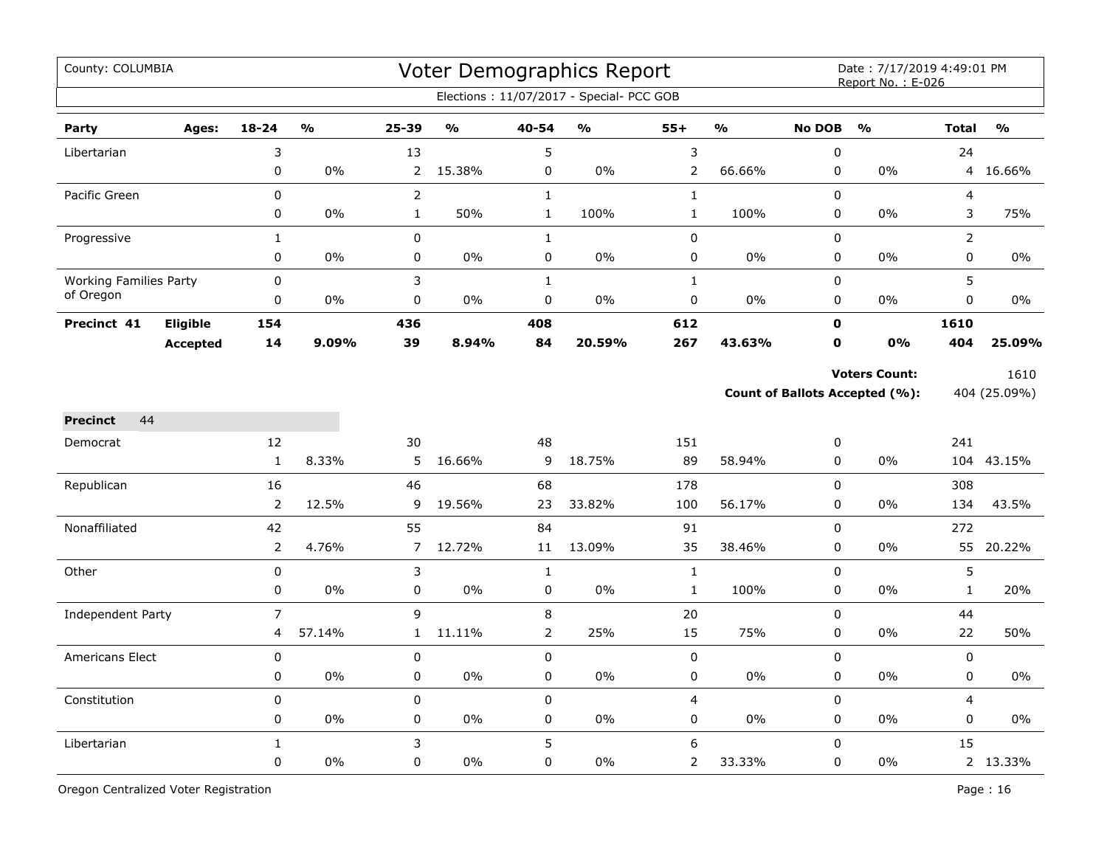| County: COLUMBIA              |                 |                |        |                |               |                | <b>Voter Demographics Report</b><br>Elections: 11/07/2017 - Special- PCC GOB |                |               |                | Date: 7/17/2019 4:49:01 PM<br>Report No.: E-026               |              |                      |
|-------------------------------|-----------------|----------------|--------|----------------|---------------|----------------|------------------------------------------------------------------------------|----------------|---------------|----------------|---------------------------------------------------------------|--------------|----------------------|
|                               |                 |                |        |                |               |                |                                                                              |                |               |                |                                                               |              |                      |
| Party                         | Ages:           | $18 - 24$      | %      | $25 - 39$      | $\frac{0}{0}$ | 40-54          | $\frac{0}{0}$                                                                | $55+$          | $\frac{0}{0}$ | <b>No DOB</b>  | $\frac{0}{0}$                                                 | <b>Total</b> | $\frac{0}{0}$        |
| Libertarian                   |                 | 3              |        | 13             |               | 5              |                                                                              | $\mathsf 3$    |               | 0              |                                                               | 24           |                      |
|                               |                 | $\pmb{0}$      | $0\%$  | $\overline{2}$ | 15.38%        | $\pmb{0}$      | $0\%$                                                                        | $\overline{2}$ | 66.66%        | 0              | 0%                                                            | 4            | 16.66%               |
| Pacific Green                 |                 | $\pmb{0}$      |        | $\overline{2}$ |               | $\mathbf{1}$   |                                                                              | $\mathbf{1}$   |               | 0              |                                                               | 4            |                      |
|                               |                 | $\pmb{0}$      | 0%     | $\mathbf{1}$   | 50%           | $\mathbf 1$    | 100%                                                                         | $\mathbf 1$    | 100%          | 0              | 0%                                                            | 3            | 75%                  |
| Progressive                   |                 | $1\,$          |        | 0              |               | $\mathbf 1$    |                                                                              | $\pmb{0}$      |               | 0              |                                                               | 2            |                      |
|                               |                 | $\mathbf 0$    | 0%     | 0              | $0\%$         | 0              | 0%                                                                           | 0              | 0%            | 0              | 0%                                                            | 0            | $0\%$                |
| <b>Working Families Party</b> |                 | $\mathbf 0$    |        | 3              |               | $\mathbf{1}$   |                                                                              | $\mathbf{1}$   |               | 0              |                                                               | 5            |                      |
| of Oregon                     |                 | 0              | 0%     | 0              | 0%            | $\pmb{0}$      | 0%                                                                           | $\pmb{0}$      | 0%            | 0              | 0%                                                            | 0            | 0%                   |
| Precinct 41                   | Eligible        | 154            |        | 436            |               | 408            |                                                                              | 612            |               | $\mathbf o$    |                                                               | 1610         |                      |
|                               | <b>Accepted</b> | 14             | 9.09%  | 39             | 8.94%         | 84             | 20.59%                                                                       | 267            | 43.63%        | $\mathbf o$    | <b>0%</b>                                                     | 404          | 25.09%               |
|                               |                 |                |        |                |               |                |                                                                              |                |               |                | <b>Voters Count:</b><br><b>Count of Ballots Accepted (%):</b> |              | 1610<br>404 (25.09%) |
| 44<br><b>Precinct</b>         |                 |                |        |                |               |                |                                                                              |                |               |                |                                                               |              |                      |
| Democrat                      |                 | 12             |        | 30             |               | 48             |                                                                              | 151            |               | 0              |                                                               | 241          |                      |
|                               |                 | $\mathbf{1}$   | 8.33%  | 5              | 16.66%        | 9              | 18.75%                                                                       | 89             | 58.94%        | 0              | 0%                                                            | 104          | 43.15%               |
| Republican                    |                 | 16             |        | 46             |               | 68             |                                                                              | 178            |               | 0              |                                                               | 308          |                      |
|                               |                 | $\mathbf 2$    | 12.5%  | 9              | 19.56%        | 23             | 33.82%                                                                       | 100            | 56.17%        | $\mathsf 0$    | 0%                                                            | 134          | 43.5%                |
| Nonaffiliated                 |                 | 42             |        | 55             |               | 84             |                                                                              | 91             |               | $\mathsf 0$    |                                                               | 272          |                      |
|                               |                 | $\overline{2}$ | 4.76%  | $\overline{7}$ | 12.72%        | 11             | 13.09%                                                                       | 35             | 38.46%        | 0              | 0%                                                            |              | 55 20.22%            |
| Other                         |                 | $\pmb{0}$      |        | 3              |               | $\mathbf{1}$   |                                                                              | $\mathbf{1}$   |               | $\overline{0}$ |                                                               | 5            |                      |
|                               |                 | $\pmb{0}$      | 0%     | 0              | 0%            | $\pmb{0}$      | 0%                                                                           | $\mathbf 1$    | 100%          | $\mathsf 0$    | 0%                                                            | $\mathbf{1}$ | 20%                  |
| Independent Party             |                 | $\overline{7}$ |        | 9              |               | $\,8\,$        |                                                                              | 20             |               | $\mathsf 0$    |                                                               | 44           |                      |
|                               |                 | 4              | 57.14% | $\mathbf{1}$   | 11.11%        | $\overline{2}$ | 25%                                                                          | 15             | 75%           | 0              | 0%                                                            | 22           | 50%                  |
| <b>Americans Elect</b>        |                 | $\mathbf 0$    |        | 0              |               | $\mathbf 0$    |                                                                              | $\mathbf 0$    |               | 0              |                                                               | 0            |                      |
|                               |                 | $\pmb{0}$      | 0%     | 0              | 0%            | $\pmb{0}$      | 0%                                                                           | $\pmb{0}$      | 0%            | 0              | 0%                                                            | 0            | $0\%$                |
| Constitution                  |                 | $\mathbf 0$    |        | 0              |               | $\mathsf 0$    |                                                                              | 4              |               | 0              |                                                               | 4            |                      |
|                               |                 | $\mathbf 0$    | $0\%$  | 0              | 0%            | $\mathbf 0$    | 0%                                                                           | 0              | $0\%$         | 0              | 0%                                                            | 0            | $0\%$                |
| Libertarian                   |                 | $\mathbf{1}$   |        | 3              |               | 5              |                                                                              | 6              |               | 0              |                                                               | 15           |                      |
|                               |                 | $\mathbf 0$    | 0%     | 0              | 0%            | $\mathsf 0$    | 0%                                                                           | $\overline{2}$ | 33.33%        | 0              | $0\%$                                                         |              | 2 13.33%             |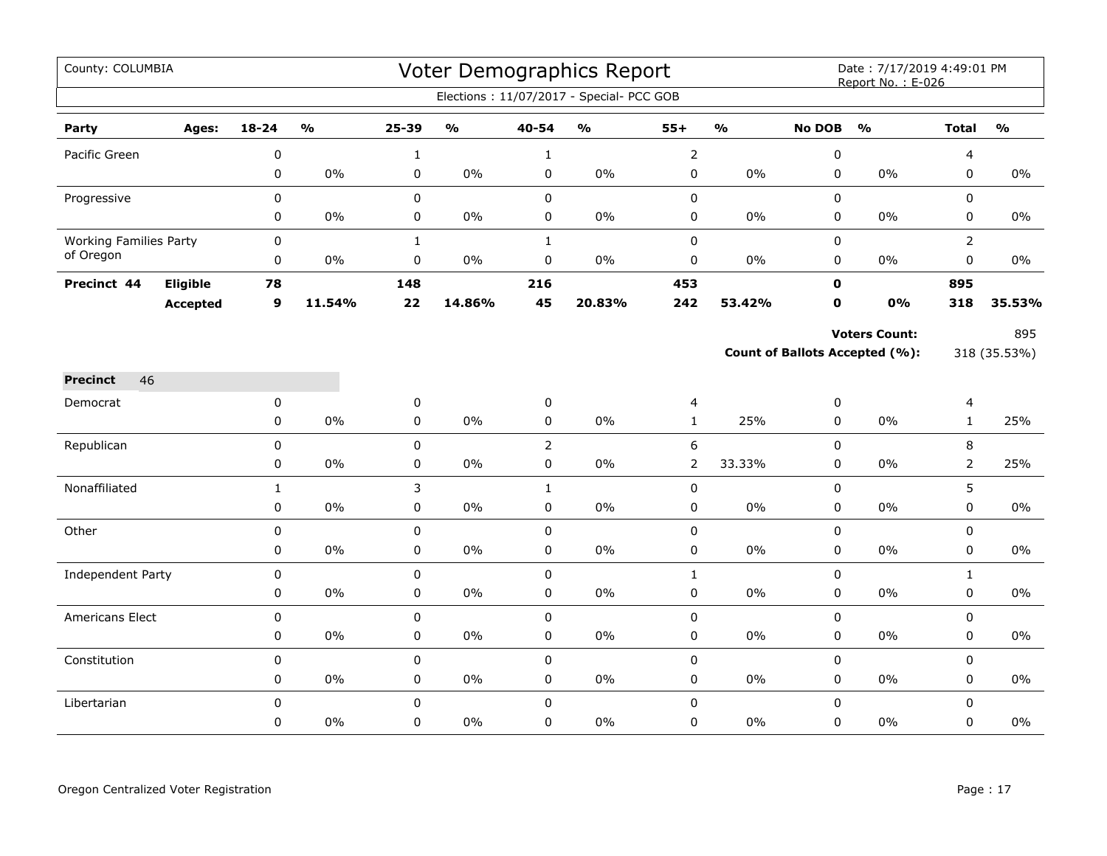| County: COLUMBIA              |          |              |                         |              |                                   |                | <b>Voter Demographics Report</b>         |                  |                         |               | Date: 7/17/2019 4:49:01 PM<br>Report No.: E-026 |                |                         |
|-------------------------------|----------|--------------|-------------------------|--------------|-----------------------------------|----------------|------------------------------------------|------------------|-------------------------|---------------|-------------------------------------------------|----------------|-------------------------|
|                               |          |              |                         |              |                                   |                | Elections: 11/07/2017 - Special- PCC GOB |                  |                         |               |                                                 |                |                         |
| Party                         | Ages:    | $18 - 24$    | $\mathbf{O}/\mathbf{o}$ | 25-39        | $\mathsf{o}\mathsf{v}_\mathsf{o}$ | 40-54          | $\mathsf{o}\mathsf{v}_\mathsf{o}$        | $55+$            | $\mathbf{O}/\mathbf{o}$ | <b>No DOB</b> | $\mathbf{O}/\mathbf{o}$                         | <b>Total</b>   | $\mathbf{O}/\mathbf{o}$ |
| Pacific Green                 |          | 0            |                         | $\mathbf{1}$ |                                   | $\mathbf{1}$   |                                          | $\overline{2}$   |                         | 0             |                                                 | 4              |                         |
|                               |          | $\mathbf 0$  | $0\%$                   | 0            | $0\%$                             | 0              | $0\%$                                    | $\mathsf 0$      | 0%                      | 0             | 0%                                              | 0              | $0\%$                   |
| Progressive                   |          | $\mathbf 0$  |                         | 0            |                                   | $\mathsf 0$    |                                          | $\pmb{0}$        |                         | 0             |                                                 | 0              |                         |
|                               |          | 0            | 0%                      | 0            | 0%                                | 0              | 0%                                       | 0                | 0%                      | 0             | 0%                                              | 0              | 0%                      |
| <b>Working Families Party</b> |          | $\pmb{0}$    |                         | $\mathbf{1}$ |                                   | $\mathbf{1}$   |                                          | $\pmb{0}$        |                         | $\mathsf 0$   |                                                 | $\overline{2}$ |                         |
| of Oregon                     |          | $\pmb{0}$    | $0\%$                   | 0            | $0\%$                             | $\pmb{0}$      | $0\%$                                    | $\mathbf 0$      | 0%                      | 0             | 0%                                              | 0              | 0%                      |
| Precinct 44                   | Eligible | 78           |                         | 148          |                                   | 216            |                                          | 453              |                         | $\mathbf{0}$  |                                                 | 895            |                         |
|                               | Accepted | 9            | 11.54%                  | 22           | 14.86%                            | 45             | 20.83%                                   | 242              | 53.42%                  | 0             | 0%                                              | 318            | 35.53%                  |
|                               |          |              |                         |              |                                   |                |                                          |                  |                         |               | <b>Voters Count:</b>                            |                | 895                     |
|                               |          |              |                         |              |                                   |                |                                          |                  |                         |               | <b>Count of Ballots Accepted (%):</b>           |                | 318 (35.53%)            |
| <b>Precinct</b><br>46         |          |              |                         |              |                                   |                |                                          |                  |                         |               |                                                 |                |                         |
| Democrat                      |          | $\mathbf 0$  |                         | 0            |                                   | $\pmb{0}$      |                                          | 4                |                         | 0             |                                                 | 4              |                         |
|                               |          | 0            | 0%                      | 0            | $0\%$                             | $\pmb{0}$      | $0\%$                                    | $\mathbf{1}$     | 25%                     | 0             | 0%                                              | $\mathbf{1}$   | 25%                     |
| Republican                    |          | $\mathbf 0$  |                         | 0            |                                   | $\overline{2}$ |                                          | $\boldsymbol{6}$ |                         | 0             |                                                 | 8              |                         |
|                               |          | 0            | $0\%$                   | 0            | $0\%$                             | 0              | $0\%$                                    | $\overline{2}$   | 33.33%                  | 0             | $0\%$                                           | $\overline{2}$ | 25%                     |
| Nonaffiliated                 |          | $\mathbf{1}$ |                         | 3            |                                   | $\mathbf{1}$   |                                          | 0                |                         | 0             |                                                 | 5              |                         |
|                               |          | $\pmb{0}$    | $0\%$                   | 0            | 0%                                | $\pmb{0}$      | $0\%$                                    | $\pmb{0}$        | $0\%$                   | 0             | 0%                                              | 0              | $0\%$                   |
| Other                         |          | $\mathbf 0$  |                         | 0            |                                   | $\pmb{0}$      |                                          | $\mathsf 0$      |                         | 0             |                                                 | 0              |                         |
|                               |          | $\mathbf 0$  | $0\%$                   | $\mathbf 0$  | $0\%$                             | $\mathbf 0$    | $0\%$                                    | $\mathsf 0$      | $0\%$                   | 0             | $0\%$                                           | 0              | $0\%$                   |
| <b>Independent Party</b>      |          | 0            |                         | 0            |                                   | $\mathbf 0$    |                                          | $\mathbf{1}$     |                         | 0             |                                                 | $\mathbf{1}$   |                         |
|                               |          | $\pmb{0}$    | $0\%$                   | 0            | $0\%$                             | 0              | $0\%$                                    | $\mathsf 0$      | $0\%$                   | 0             | 0%                                              | 0              | $0\%$                   |
| Americans Elect               |          | $\pmb{0}$    |                         | 0            |                                   | $\pmb{0}$      |                                          | $\pmb{0}$        |                         | 0             |                                                 | 0              |                         |
|                               |          | $\pmb{0}$    | $0\%$                   | 0            | $0\%$                             | $\pmb{0}$      | $0\%$                                    | $\pmb{0}$        | $0\%$                   | 0             | $0\%$                                           | 0              | $0\%$                   |
| Constitution                  |          | $\mathsf 0$  |                         | 0            |                                   | $\mathsf 0$    |                                          | $\pmb{0}$        |                         | 0             |                                                 | 0              |                         |
|                               |          | $\pmb{0}$    | $0\%$                   | 0            | $0\%$                             | $\pmb{0}$      | $0\%$                                    | $\mathsf 0$      | 0%                      | 0             | 0%                                              | 0              | $0\%$                   |
| Libertarian                   |          | $\Omega$     |                         | 0            |                                   | $\pmb{0}$      |                                          | $\pmb{0}$        |                         | $\mathsf 0$   |                                                 | 0              |                         |
|                               |          | $\mathbf 0$  | 0%                      | 0            | $0\%$                             | $\mathbf 0$    | 0%                                       | 0                | 0%                      | 0             | 0%                                              | 0              | 0%                      |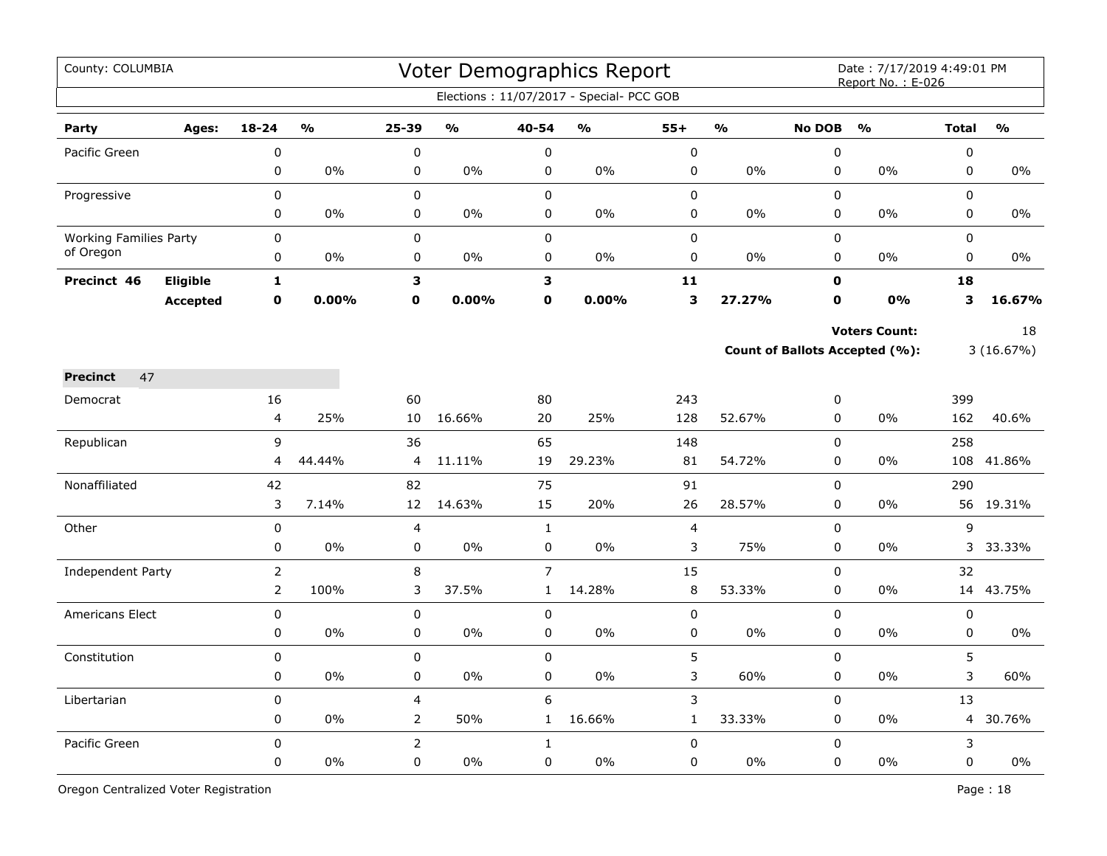| County: COLUMBIA              |                 |                         |                         |                |                         |                | Voter Demographics Report                |                |               |               | Date: 7/17/2019 4:49:01 PM<br>Report No.: E-026 |                |               |
|-------------------------------|-----------------|-------------------------|-------------------------|----------------|-------------------------|----------------|------------------------------------------|----------------|---------------|---------------|-------------------------------------------------|----------------|---------------|
|                               |                 |                         |                         |                |                         |                | Elections: 11/07/2017 - Special- PCC GOB |                |               |               |                                                 |                |               |
| Party                         | Ages:           | $18 - 24$               | $\mathbf{O}/\mathbf{O}$ | 25-39          | $\mathbf{O}/\mathbf{o}$ | 40-54          | $\frac{1}{2}$                            | $55+$          | $\frac{0}{0}$ | <b>No DOB</b> | $\frac{0}{0}$                                   | <b>Total</b>   | $\frac{0}{0}$ |
| Pacific Green                 |                 | 0                       |                         | $\pmb{0}$      |                         | $\pmb{0}$      |                                          | $\pmb{0}$      |               | $\mathbf 0$   |                                                 | 0              |               |
|                               |                 | $\mathbf 0$             | 0%                      | 0              | 0%                      | $\mathsf 0$    | 0%                                       | $\mathsf 0$    | 0%            | 0             | 0%                                              | 0              | 0%            |
| Progressive                   |                 | 0                       |                         | $\mathbf 0$    |                         | $\mathbf 0$    |                                          | 0              |               | $\Omega$      |                                                 | $\Omega$       |               |
|                               |                 | 0                       | $0\%$                   | 0              | $0\%$                   | 0              | 0%                                       | 0              | $0\%$         | 0             | 0%                                              | 0              | 0%            |
| <b>Working Families Party</b> |                 | 0                       |                         | $\pmb{0}$      |                         | $\mathbf 0$    |                                          | $\pmb{0}$      |               | 0             |                                                 | 0              |               |
| of Oregon                     |                 | 0                       | 0%                      | 0              | 0%                      | 0              | 0%                                       | 0              | 0%            | $\pmb{0}$     | 0%                                              | 0              | 0%            |
| Precinct 46                   | Eligible        | $\mathbf{1}$            |                         | 3              |                         | 3              |                                          | 11             |               | $\mathbf 0$   |                                                 | 18             |               |
|                               | <b>Accepted</b> | $\mathbf 0$             | $0.00\%$                | $\mathbf 0$    | 0.00%                   | $\mathbf 0$    | 0.00%                                    | 3              | 27.27%        | $\mathbf o$   | 0%                                              | 3              | 16.67%        |
|                               |                 |                         |                         |                |                         |                |                                          |                |               |               | <b>Voters Count:</b>                            |                | 18            |
|                               |                 |                         |                         |                |                         |                |                                          |                |               |               | Count of Ballots Accepted (%):                  |                | 3(16.67%)     |
| 47<br><b>Precinct</b>         |                 |                         |                         |                |                         |                |                                          |                |               |               |                                                 |                |               |
| Democrat                      |                 | 16                      |                         | 60             |                         | 80             |                                          | 243            |               | 0             |                                                 | 399            |               |
|                               |                 | $\overline{\mathbf{4}}$ | 25%                     | 10             | 16.66%                  | 20             | 25%                                      | 128            | 52.67%        | $\pmb{0}$     | 0%                                              | 162            | 40.6%         |
| Republican                    |                 | 9                       |                         | 36             |                         | 65             |                                          | 148            |               | $\pmb{0}$     |                                                 | 258            |               |
|                               |                 | 4                       | 44.44%                  | 4              | 11.11%                  | 19             | 29.23%                                   | 81             | 54.72%        | 0             | 0%                                              | 108            | 41.86%        |
| Nonaffiliated                 |                 | 42                      |                         | 82             |                         | 75             |                                          | 91             |               | $\mathbf 0$   |                                                 | 290            |               |
|                               |                 | 3                       | 7.14%                   | 12             | 14.63%                  | 15             | 20%                                      | 26             | 28.57%        | $\pmb{0}$     | 0%                                              |                | 56 19.31%     |
| Other                         |                 | $\pmb{0}$               |                         | 4              |                         | $\mathbf{1}$   |                                          | $\overline{4}$ |               | $\pmb{0}$     |                                                 | 9              |               |
|                               |                 | 0                       | 0%                      | 0              | 0%                      | $\mathsf 0$    | 0%                                       | 3              | 75%           | 0             | 0%                                              |                | 3 33.33%      |
| Independent Party             |                 | $\overline{2}$          |                         | 8              |                         | $\overline{7}$ |                                          | 15             |               | $\Omega$      |                                                 | 32             |               |
|                               |                 | $\overline{2}$          | 100%                    | 3              | 37.5%                   | $\mathbf{1}$   | 14.28%                                   | $\, 8$         | 53.33%        | 0             | 0%                                              |                | 14 43.75%     |
| <b>Americans Elect</b>        |                 | 0                       |                         | $\pmb{0}$      |                         | 0              |                                          | 0              |               | $\mathbf 0$   |                                                 | $\pmb{0}$      |               |
|                               |                 | 0                       | 0%                      | $\pmb{0}$      | 0%                      | 0              | 0%                                       | $\mathsf 0$    | 0%            | $\pmb{0}$     | 0%                                              | 0              | 0%            |
| Constitution                  |                 | 0                       |                         | 0              |                         | $\mathbf 0$    |                                          | 5              |               | $\mathbf 0$   |                                                 | 5              |               |
|                               |                 | $\mathbf 0$             | 0%                      | $\mathbf 0$    | $0\%$                   | $\mathbf 0$    | $0\%$                                    | 3              | 60%           | $\mathbf 0$   | 0%                                              | 3              | 60%           |
| Libertarian                   |                 | $\pmb{0}$               |                         | $\overline{4}$ |                         | 6              |                                          | 3              |               | $\mathbf 0$   |                                                 | 13             |               |
|                               |                 | 0                       | 0%                      | 2              | 50%                     | $\mathbf{1}$   | 16.66%                                   | $\mathbf{1}$   | 33.33%        | 0             | $0\%$                                           | $\overline{4}$ | 30.76%        |
| Pacific Green                 |                 | $\pmb{0}$               |                         | $\overline{2}$ |                         | $\mathbf{1}$   |                                          | $\pmb{0}$      |               | 0             |                                                 | 3              |               |
|                               |                 | 0                       | 0%                      | 0              | 0%                      | $\pmb{0}$      | 0%                                       | 0              | 0%            | 0             | 0%                                              | 0              | $0\%$         |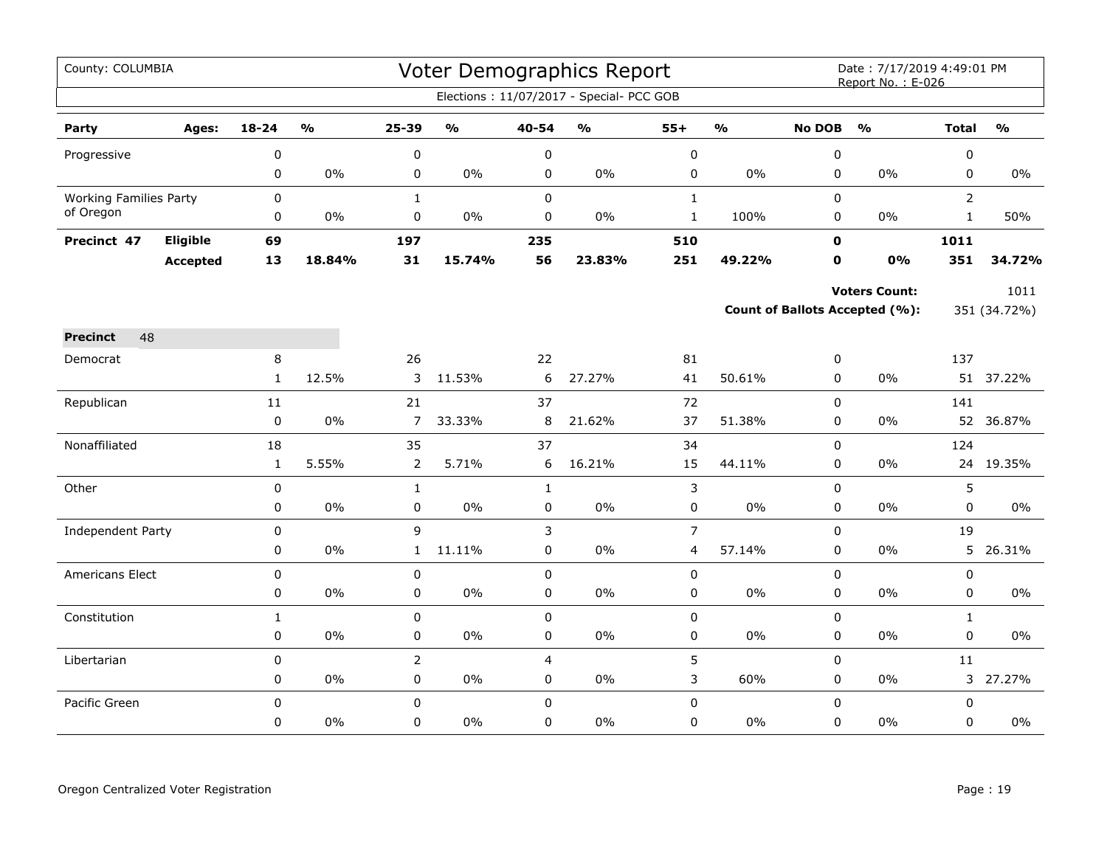| County: COLUMBIA              |                 |              |                         |                   |                                   |                  | Voter Demographics Report                |                     |               |                  | Date: 7/17/2019 4:49:01 PM<br>Report No.: E-026 |                |                         |
|-------------------------------|-----------------|--------------|-------------------------|-------------------|-----------------------------------|------------------|------------------------------------------|---------------------|---------------|------------------|-------------------------------------------------|----------------|-------------------------|
|                               |                 |              |                         |                   |                                   |                  | Elections: 11/07/2017 - Special- PCC GOB |                     |               |                  |                                                 |                |                         |
| Party                         | Ages:           | $18 - 24$    | $\mathbf{0}/\mathbf{0}$ | 25-39             | $\mathsf{o}\mathsf{v}_\mathsf{o}$ | 40-54            | $\mathsf{o}\mathsf{v}_\mathsf{o}$        | $55+$               | $\frac{0}{0}$ | <b>No DOB</b>    | $\mathbf{O}/\mathbf{o}$                         | <b>Total</b>   | $\mathbf{O}/\mathbf{o}$ |
| Progressive                   |                 | 0            |                         | $\pmb{0}$         |                                   | $\pmb{0}$        |                                          | $\pmb{0}$           |               | $\pmb{0}$        |                                                 | $\pmb{0}$      |                         |
|                               |                 | 0            | 0%                      | $\pmb{0}$         | 0%                                | 0                | $0\%$                                    | $\pmb{0}$           | $0\%$         | 0                | $0\%$                                           | 0              | $0\%$                   |
| <b>Working Families Party</b> |                 | 0            |                         | $\mathbf{1}$      |                                   | $\mathsf 0$      |                                          | $\mathbf{1}$        |               | $\mathsf 0$      |                                                 | $\overline{2}$ |                         |
| of Oregon                     |                 | 0            | 0%                      | $\pmb{0}$         | 0%                                | 0                | 0%                                       | $\mathbf{1}$        | 100%          | 0                | $0\%$                                           | $\mathbf{1}$   | 50%                     |
| Precinct 47                   | Eligible        | 69           |                         | 197               |                                   | 235              |                                          | 510                 |               | $\mathbf 0$      |                                                 | 1011           |                         |
|                               | <b>Accepted</b> | 13           | 18.84%                  | 31                | 15.74%                            | 56               | 23.83%                                   | 251                 | 49.22%        | $\mathbf 0$      | 0%                                              | 351            | 34.72%                  |
|                               |                 |              |                         |                   |                                   |                  |                                          |                     |               |                  | <b>Voters Count:</b>                            |                | 1011                    |
|                               |                 |              |                         |                   |                                   |                  |                                          |                     |               |                  | Count of Ballots Accepted (%):                  |                | 351 (34.72%)            |
| 48<br><b>Precinct</b>         |                 |              |                         |                   |                                   |                  |                                          |                     |               |                  |                                                 |                |                         |
| Democrat                      |                 | 8            |                         | 26                |                                   | 22               |                                          | 81                  |               | 0                |                                                 | 137            |                         |
|                               |                 | $\mathbf{1}$ | 12.5%                   | 3                 | 11.53%                            | 6                | 27.27%                                   | 41                  | 50.61%        | $\Omega$         | 0%                                              |                | 51 37.22%               |
| Republican                    |                 | 11           |                         | 21                |                                   | 37               |                                          | 72                  |               | $\mathbf 0$      |                                                 | 141            |                         |
|                               |                 | $\pmb{0}$    | $0\%$                   | $\overline{7}$    | 33.33%                            | 8                | 21.62%                                   | 37                  | 51.38%        | 0                | $0\%$                                           |                | 52 36.87%               |
| Nonaffiliated                 |                 | 18           |                         | 35                |                                   | 37               |                                          | 34                  |               | $\mathbf 0$      |                                                 | 124            |                         |
|                               |                 | $\mathbf{1}$ | 5.55%                   | $\overline{2}$    | 5.71%                             | 6                | 16.21%                                   | 15                  | 44.11%        | 0                | $0\%$                                           |                | 24 19.35%               |
| Other                         |                 | 0            |                         | $\mathbf{1}$      |                                   | $\mathbf{1}$     |                                          | 3                   |               | $\mathbf 0$      |                                                 | 5              |                         |
|                               |                 | 0            | 0%                      | $\pmb{0}$         | 0%                                | $\pmb{0}$        | $0\%$                                    | 0                   | $0\%$         | 0                | $0\%$                                           | 0              | $0\%$                   |
| Independent Party             |                 | 0<br>0       | 0%                      | 9<br>$\mathbf{1}$ | 11.11%                            | 3<br>$\mathbf 0$ | $0\%$                                    | $\overline{7}$<br>4 | 57.14%        | 0<br>$\mathbf 0$ | 0%                                              | 19<br>5        | 26.31%                  |
| Americans Elect               |                 | 0            |                         | 0                 |                                   | $\pmb{0}$        |                                          | 0                   |               | $\mathbf 0$      |                                                 | 0              |                         |
|                               |                 | 0            | $0\%$                   | 0                 | $0\%$                             | $\pmb{0}$        | $0\%$                                    | 0                   | $0\%$         | 0                | $0\%$                                           | 0              | $0\%$                   |
| Constitution                  |                 | $\mathbf{1}$ |                         | $\pmb{0}$         |                                   | $\pmb{0}$        |                                          | $\pmb{0}$           |               | $\pmb{0}$        |                                                 | $\mathbf{1}$   |                         |
|                               |                 | $\pmb{0}$    | 0%                      | $\pmb{0}$         | $0\%$                             | 0                | $0\%$                                    | $\pmb{0}$           | $0\%$         | 0                | 0%                                              | $\mathbf 0$    | 0%                      |
| Libertarian                   |                 | 0            |                         | $\overline{2}$    |                                   | $\overline{4}$   |                                          | 5                   |               | $\mathsf 0$      |                                                 | 11             |                         |
|                               |                 | 0            | $0\%$                   | 0                 | $0\%$                             | $\pmb{0}$        | $0\%$                                    | 3                   | 60%           | $\mathbf 0$      | $0\%$                                           | 3              | 27.27%                  |
| Pacific Green                 |                 | $\pmb{0}$    |                         | $\pmb{0}$         |                                   | $\Omega$         |                                          | $\pmb{0}$           |               | $\pmb{0}$        |                                                 | $\pmb{0}$      |                         |
|                               |                 | 0            | $0\%$                   | 0                 | 0%                                | $\mathbf 0$      | $0\%$                                    | 0                   | 0%            | $\mathbf 0$      | $0\%$                                           | $\mathbf 0$    | 0%                      |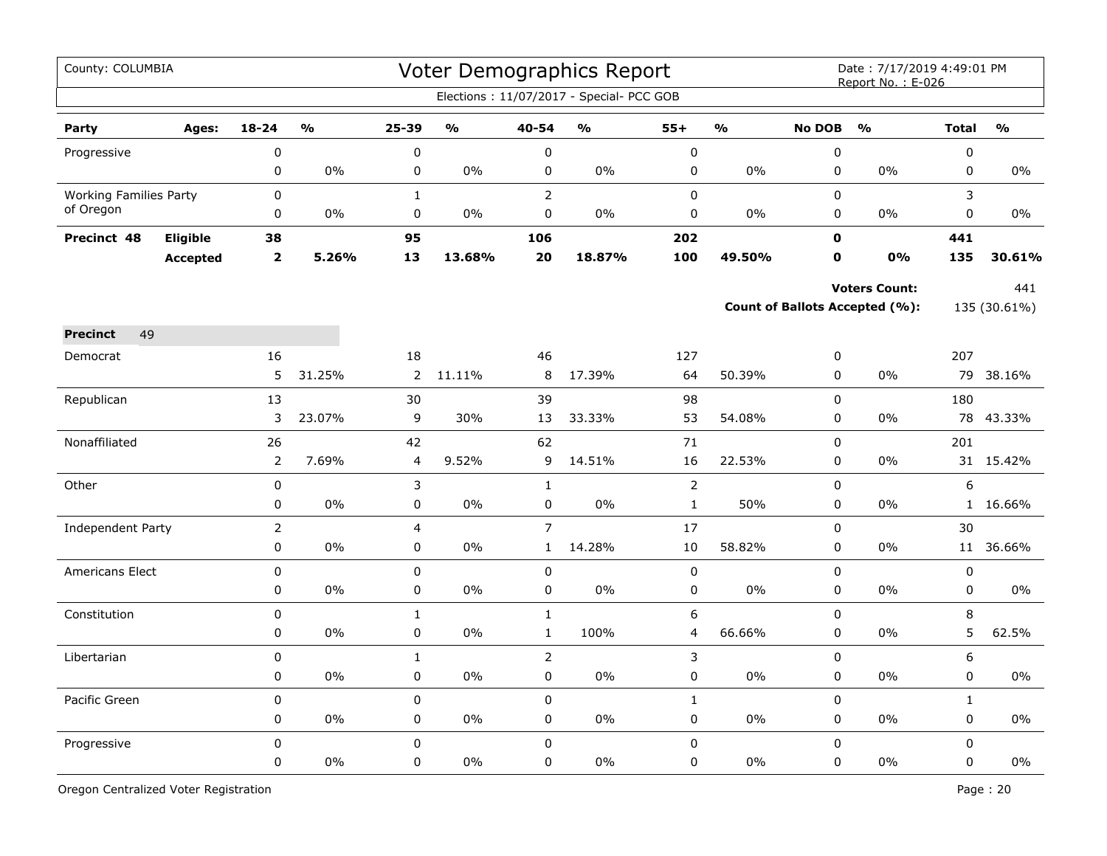| County: COLUMBIA              |                 |                         |                         |                |                                   |                | Voter Demographics Report                |                |               |               | Date: 7/17/2019 4:49:01 PM<br>Report No.: E-026 |              |               |
|-------------------------------|-----------------|-------------------------|-------------------------|----------------|-----------------------------------|----------------|------------------------------------------|----------------|---------------|---------------|-------------------------------------------------|--------------|---------------|
|                               |                 |                         |                         |                |                                   |                | Elections: 11/07/2017 - Special- PCC GOB |                |               |               |                                                 |              |               |
| Party                         | Ages:           | $18 - 24$               | $\mathbf{O}/\mathbf{O}$ | 25-39          | $\mathsf{o}\mathsf{v}_\mathsf{o}$ | 40-54          | $\frac{1}{2}$                            | $55+$          | $\frac{0}{0}$ | <b>No DOB</b> | $\frac{0}{0}$                                   | <b>Total</b> | $\frac{0}{0}$ |
| Progressive                   |                 | 0                       |                         | $\pmb{0}$      |                                   | $\pmb{0}$      |                                          | $\pmb{0}$      |               | $\pmb{0}$     |                                                 | $\pmb{0}$    |               |
|                               |                 | 0                       | 0%                      | 0              | 0%                                | 0              | $0\%$                                    | $\pmb{0}$      | $0\%$         | $\mathbf 0$   | $0\%$                                           | $\pmb{0}$    | $0\%$         |
| <b>Working Families Party</b> |                 | $\mathbf 0$             |                         | $\mathbf{1}$   |                                   | $\overline{2}$ |                                          | $\mathbf 0$    |               | $\Omega$      |                                                 | 3            |               |
| of Oregon                     |                 | 0                       | $0\%$                   | 0              | $0\%$                             | 0              | $0\%$                                    | 0              | $0\%$         | $\pmb{0}$     | $0\%$                                           | $\pmb{0}$    | 0%            |
| Precinct 48                   | Eligible        | 38                      |                         | 95             |                                   | 106            |                                          | 202            |               | 0             |                                                 | 441          |               |
|                               | <b>Accepted</b> | $\overline{\mathbf{2}}$ | 5.26%                   | 13             | 13.68%                            | 20             | 18.87%                                   | 100            | 49.50%        | $\mathbf o$   | 0%                                              | 135          | 30.61%        |
|                               |                 |                         |                         |                |                                   |                |                                          |                |               |               | <b>Voters Count:</b>                            |              | 441           |
|                               |                 |                         |                         |                |                                   |                |                                          |                |               |               | Count of Ballots Accepted (%):                  |              | 135 (30.61%)  |
| 49<br><b>Precinct</b>         |                 |                         |                         |                |                                   |                |                                          |                |               |               |                                                 |              |               |
| Democrat                      |                 | 16                      |                         | 18             |                                   | 46             |                                          | 127            |               | 0             |                                                 | 207          |               |
|                               |                 | 5                       | 31.25%                  | $\overline{2}$ | 11.11%                            | 8              | 17.39%                                   | 64             | 50.39%        | $\mathsf 0$   | 0%                                              | 79           | 38.16%        |
| Republican                    |                 | 13                      |                         | 30             |                                   | 39             |                                          | 98             |               | $\pmb{0}$     |                                                 | 180          |               |
|                               |                 | 3                       | 23.07%                  | 9              | 30%                               | 13             | 33.33%                                   | 53             | 54.08%        | 0             | 0%                                              | 78           | 43.33%        |
| Nonaffiliated                 |                 | 26                      |                         | 42             |                                   | 62             |                                          | 71             |               | $\mathsf 0$   |                                                 | 201          |               |
|                               |                 | $\overline{2}$          | 7.69%                   | 4              | 9.52%                             | 9              | 14.51%                                   | 16             | 22.53%        | $\mathbf 0$   | 0%                                              |              | 31 15.42%     |
| Other                         |                 | 0                       |                         | 3              |                                   | $\mathbf{1}$   |                                          | $\overline{2}$ |               | $\pmb{0}$     |                                                 | 6            |               |
|                               |                 | 0                       | 0%                      | 0              | 0%                                | $\pmb{0}$      | 0%                                       | $\mathbf{1}$   | 50%           | $\pmb{0}$     | 0%                                              |              | 1 16.66%      |
| Independent Party             |                 | $\overline{2}$          |                         | 4              |                                   | $\overline{7}$ |                                          | 17             |               | $\pmb{0}$     |                                                 | 30           |               |
|                               |                 | 0                       | 0%                      | 0              | 0%                                | $\mathbf{1}$   | 14.28%                                   | 10             | 58.82%        | $\mathbf 0$   | $0\%$                                           |              | 11 36.66%     |
| <b>Americans Elect</b>        |                 | 0                       |                         | 0              |                                   | $\mathbf 0$    |                                          | $\mathbf 0$    |               | $\Omega$      |                                                 | $\mathbf 0$  |               |
|                               |                 | 0                       | $0\%$                   | $\pmb{0}$      | 0%                                | $\mathbf 0$    | $0\%$                                    | 0              | 0%            | $\mathbf 0$   | 0%                                              | 0            | 0%            |
| Constitution                  |                 | 0                       |                         | $\mathbf{1}$   |                                   | $\mathbf{1}$   |                                          | 6              |               | $\mathsf 0$   |                                                 | 8            |               |
|                               |                 | 0                       | 0%                      | 0              | 0%                                | $\mathbf{1}$   | 100%                                     | 4              | 66.66%        | $\pmb{0}$     | 0%                                              | 5            | 62.5%         |
| Libertarian                   |                 | 0                       |                         | $\mathbf{1}$   |                                   | $\overline{2}$ |                                          | 3              |               | $\pmb{0}$     |                                                 | 6            |               |
|                               |                 | 0                       | 0%                      | $\mathbf 0$    | 0%                                | $\mathbf 0$    | $0\%$                                    | $\pmb{0}$      | $0\%$         | $\mathbf 0$   | $0\%$                                           | $\mathbf 0$  | 0%            |
| Pacific Green                 |                 | $\mathbf 0$             |                         | $\mathbf 0$    |                                   | $\mathsf 0$    |                                          | $\mathbf{1}$   |               | $\mathsf 0$   |                                                 | $\mathbf{1}$ |               |
|                               |                 | 0                       | 0%                      | 0              | $0\%$                             | 0              | $0\%$                                    | 0              | $0\%$         | 0             | 0%                                              | 0            | $0\%$         |
| Progressive                   |                 | 0                       |                         | $\mathsf 0$    |                                   | $\mathsf 0$    |                                          | $\pmb{0}$      |               | $\mathsf 0$   |                                                 | $\mathsf 0$  |               |
|                               |                 | 0                       | 0%                      | 0              | 0%                                | $\mathbf 0$    | 0%                                       | 0              | 0%            | $\pmb{0}$     | 0%                                              | $\pmb{0}$    | 0%            |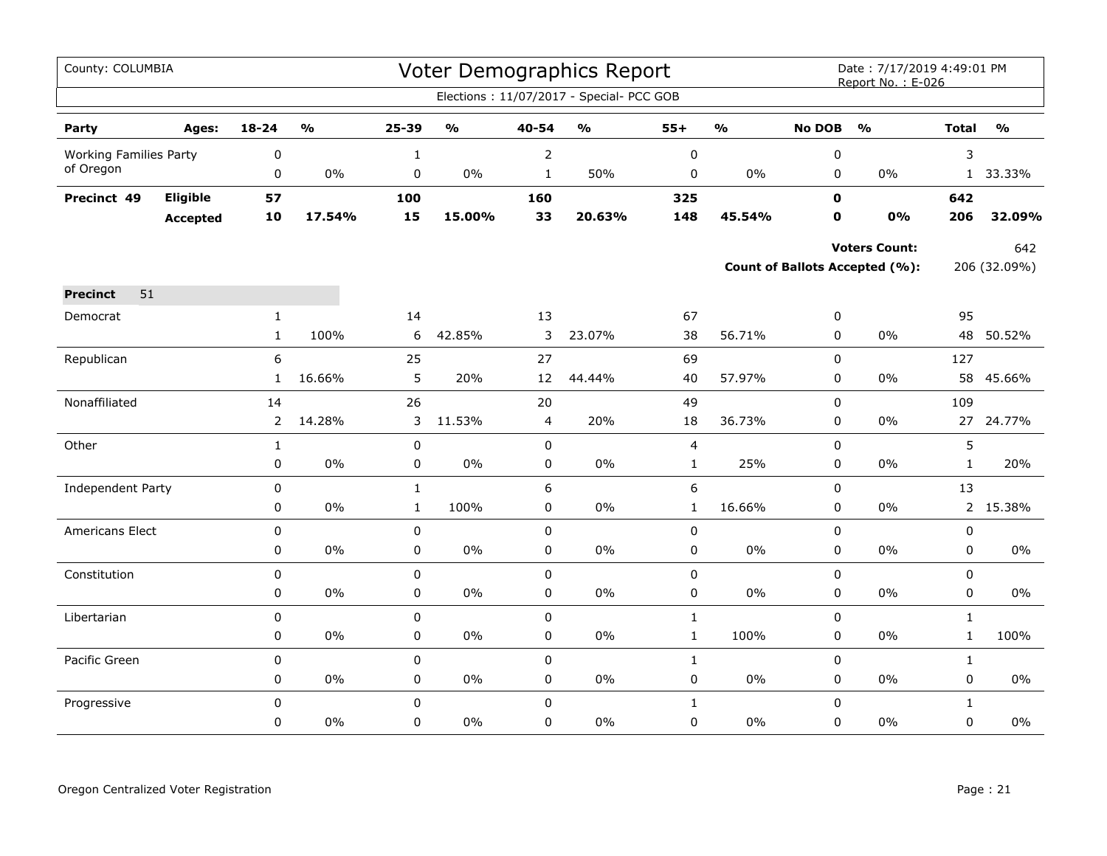| County: COLUMBIA              |                 |                |               |              |               |                | <b>Voter Demographics Report</b>         |              |               |               | Date: 7/17/2019 4:49:01 PM<br>Report No.: E-026 |              |               |
|-------------------------------|-----------------|----------------|---------------|--------------|---------------|----------------|------------------------------------------|--------------|---------------|---------------|-------------------------------------------------|--------------|---------------|
|                               |                 |                |               |              |               |                | Elections: 11/07/2017 - Special- PCC GOB |              |               |               |                                                 |              |               |
| Party                         | Ages:           | 18-24          | $\frac{0}{0}$ | 25-39        | $\frac{1}{2}$ | 40-54          | $\mathsf{o}\mathsf{v}_\mathsf{o}$        | $55+$        | $\frac{1}{2}$ | <b>No DOB</b> | $\frac{1}{2}$                                   | <b>Total</b> | $\frac{1}{2}$ |
| <b>Working Families Party</b> |                 | 0              |               | $\mathbf 1$  |               | 2              |                                          | $\pmb{0}$    |               | $\pmb{0}$     |                                                 | 3            |               |
| of Oregon                     |                 | 0              | 0%            | 0            | 0%            | $\mathbf{1}$   | 50%                                      | 0            | $0\%$         | $\mathbf 0$   | $0\%$                                           | $\mathbf{1}$ | 33.33%        |
| Precinct 49                   | Eligible        | 57             |               | 100          |               | 160            |                                          | 325          |               | $\mathbf 0$   |                                                 | 642          |               |
|                               | <b>Accepted</b> | 10             | 17.54%        | 15           | 15.00%        | 33             | 20.63%                                   | 148          | 45.54%        | 0             | 0%                                              | 206          | 32.09%        |
|                               |                 |                |               |              |               |                |                                          |              |               |               | <b>Voters Count:</b>                            |              | 642           |
|                               |                 |                |               |              |               |                |                                          |              |               |               | Count of Ballots Accepted (%):                  |              | 206 (32.09%)  |
| 51<br><b>Precinct</b>         |                 |                |               |              |               |                |                                          |              |               |               |                                                 |              |               |
| Democrat                      |                 | $\mathbf{1}$   |               | 14           |               | 13             |                                          | 67           |               | $\pmb{0}$     |                                                 | 95           |               |
|                               |                 | $\mathbf{1}$   | 100%          | 6            | 42.85%        | 3              | 23.07%                                   | 38           | 56.71%        | $\mathbf 0$   | 0%                                              | 48           | 50.52%        |
| Republican                    |                 | 6              |               | 25           |               | 27             |                                          | 69           |               | $\mathsf 0$   |                                                 | 127          |               |
|                               |                 | $\mathbf{1}$   | 16.66%        | 5            | 20%           | 12             | 44.44%                                   | 40           | 57.97%        | $\mathbf 0$   | $0\%$                                           | 58           | 45.66%        |
| Nonaffiliated                 |                 | 14             |               | 26           |               | 20             |                                          | 49           |               | $\mathbf 0$   |                                                 | 109          |               |
|                               |                 | $\overline{2}$ | 14.28%        | 3            | 11.53%        | $\overline{4}$ | 20%                                      | 18           | 36.73%        | $\pmb{0}$     | $0\%$                                           | 27           | 24.77%        |
| Other                         |                 | $\mathbf{1}$   |               | 0            |               | $\mathbf 0$    |                                          | 4            |               | $\mathbf 0$   |                                                 | 5            |               |
|                               |                 | 0              | $0\%$         | 0            | 0%            | 0              | $0\%$                                    | $\mathbf{1}$ | 25%           | 0             | $0\%$                                           | $\mathbf{1}$ | 20%           |
| Independent Party             |                 | 0              |               | $\mathbf 1$  |               | 6              |                                          | 6            |               | $\mathbf 0$   |                                                 | 13           |               |
|                               |                 | 0              | $0\%$         | $\mathbf{1}$ | 100%          | 0              | $0\%$                                    | $\mathbf{1}$ | 16.66%        | $\pmb{0}$     | $0\%$                                           |              | 2 15.38%      |
| Americans Elect               |                 | 0              |               | 0            |               | 0              |                                          | 0            |               | $\mathbf 0$   |                                                 | $\pmb{0}$    |               |
|                               |                 | 0              | 0%            | 0            | 0%            | 0              | $0\%$                                    | 0            | 0%            | $\pmb{0}$     | 0%                                              | 0            | $0\%$         |
| Constitution                  |                 | 0              |               | 0            |               | 0              |                                          | 0            |               | $\pmb{0}$     |                                                 | $\pmb{0}$    |               |
|                               |                 | 0              | $0\%$         | 0            | 0%            | 0              | 0%                                       | 0            | $0\%$         | $\mathbf 0$   | $0\%$                                           | $\mathbf 0$  | $0\%$         |
| Libertarian                   |                 | 0              |               | 0            |               | $\pmb{0}$      |                                          | $\mathbf 1$  |               | $\pmb{0}$     |                                                 | $\mathbf 1$  |               |
|                               |                 | 0              | $0\%$         | 0            | 0%            | 0              | 0%                                       | $\mathbf{1}$ | 100%          | $\pmb{0}$     | $0\%$                                           | $\mathbf 1$  | 100%          |
| Pacific Green                 |                 | 0              |               | 0            |               | $\mathbf 0$    |                                          | $\mathbf{1}$ |               | $\mathbf 0$   |                                                 | $\mathbf{1}$ |               |
|                               |                 | 0              | $0\%$         | 0            | 0%            | 0              | $0\%$                                    | 0            | $0\%$         | $\mathbf 0$   | $0\%$                                           | $\mathsf 0$  | $0\%$         |
| Progressive                   |                 | 0              |               | $\mathbf 0$  |               | $\pmb{0}$      |                                          | $\mathbf{1}$ |               | $\pmb{0}$     |                                                 | $\mathbf{1}$ |               |
|                               |                 | 0              | 0%            | $\mathbf 0$  | 0%            | 0              | 0%                                       | 0            | $0\%$         | $\Omega$      | $0\%$                                           | $\mathbf 0$  | 0%            |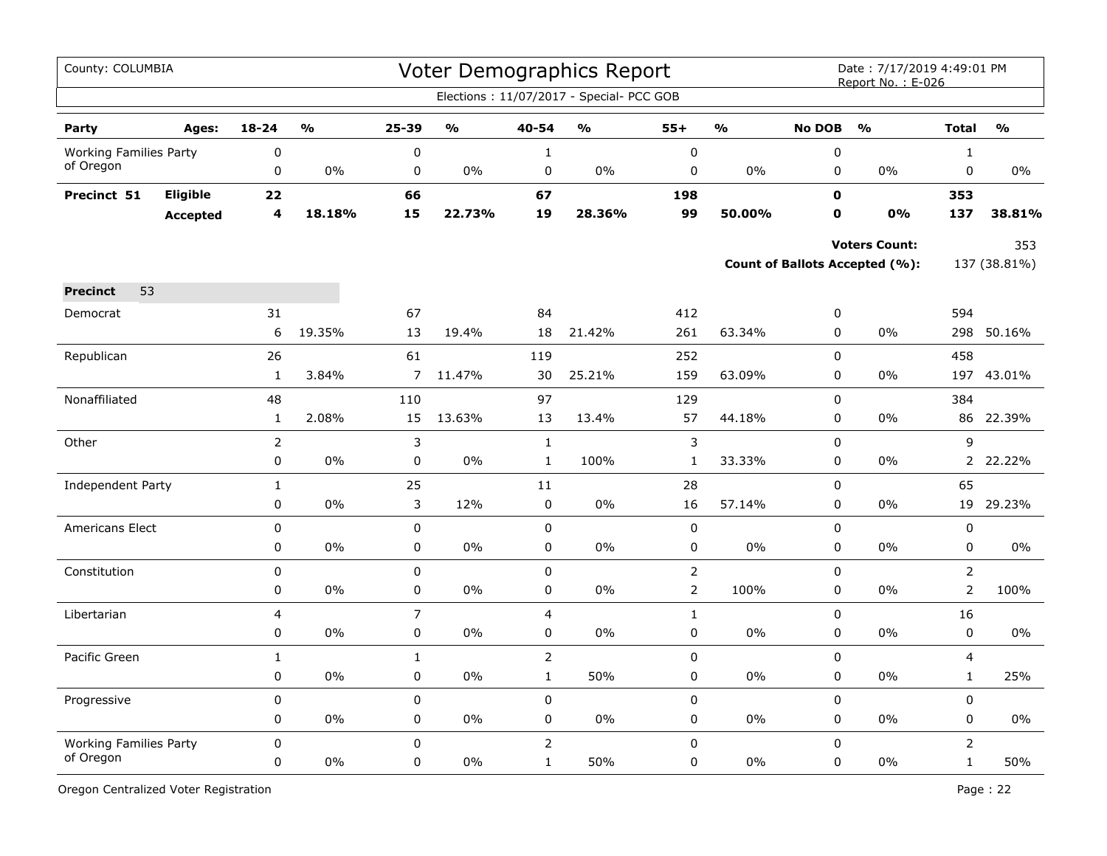| County: COLUMBIA              |                 |                |                         |                  |                         |                | Voter Demographics Report                |                |               |                          | Date: 7/17/2019 4:49:01 PM<br>Report No.: E-026 |                         |               |
|-------------------------------|-----------------|----------------|-------------------------|------------------|-------------------------|----------------|------------------------------------------|----------------|---------------|--------------------------|-------------------------------------------------|-------------------------|---------------|
|                               |                 |                |                         |                  |                         |                | Elections: 11/07/2017 - Special- PCC GOB |                |               |                          |                                                 |                         |               |
| Party                         | Ages:           | $18 - 24$      | $\mathbf{O}/\mathbf{O}$ | 25-39            | $\mathbf{O}/\mathbf{O}$ | 40-54          | $\frac{1}{2}$                            | $55+$          | $\frac{1}{2}$ | <b>No DOB</b>            | $\frac{1}{2}$                                   | <b>Total</b>            | $\frac{1}{2}$ |
| <b>Working Families Party</b> |                 | 0              |                         | 0                |                         | $\mathbf{1}$   |                                          | $\pmb{0}$      |               | 0                        |                                                 | $\mathbf{1}$            |               |
| of Oregon                     |                 | $\pmb{0}$      | 0%                      | 0                | $0\%$                   | 0              | 0%                                       | $\pmb{0}$      | 0%            | 0                        | $0\%$                                           | 0                       | $0\%$         |
| Precinct 51                   | Eligible        | 22             |                         | 66               |                         | 67             |                                          | 198            |               | $\mathbf 0$              |                                                 | 353                     |               |
|                               | <b>Accepted</b> | 4              | 18.18%                  | 15               | 22.73%                  | 19             | 28.36%                                   | 99             | 50.00%        | $\mathbf 0$              | 0%                                              | 137                     | 38.81%        |
|                               |                 |                |                         |                  |                         |                |                                          |                |               |                          | <b>Voters Count:</b>                            |                         | 353           |
|                               |                 |                |                         |                  |                         |                |                                          |                |               |                          | <b>Count of Ballots Accepted (%):</b>           |                         | 137 (38.81%)  |
|                               |                 |                |                         |                  |                         |                |                                          |                |               |                          |                                                 |                         |               |
| 53<br><b>Precinct</b>         |                 |                |                         |                  |                         |                |                                          |                |               |                          |                                                 |                         |               |
| Democrat                      |                 | 31<br>6        | 19.35%                  | 67<br>13         | 19.4%                   | 84<br>18       | 21.42%                                   | 412<br>261     | 63.34%        | $\pmb{0}$<br>$\mathbf 0$ | 0%                                              | 594<br>298              | 50.16%        |
|                               |                 |                |                         |                  |                         |                |                                          |                |               |                          |                                                 |                         |               |
| Republican                    |                 | 26             |                         | 61               |                         | 119            |                                          | 252            |               | $\mathbf 0$              |                                                 | 458                     |               |
|                               |                 | $\mathbf{1}$   | 3.84%                   | $\overline{7}$   | 11.47%                  | 30             | 25.21%                                   | 159            | 63.09%        | 0                        | 0%                                              |                         | 197 43.01%    |
| Nonaffiliated                 |                 | 48             |                         | 110              |                         | 97             |                                          | 129            |               | $\Omega$                 |                                                 | 384                     |               |
|                               |                 | $\mathbf{1}$   | 2.08%                   | 15               | 13.63%                  | 13             | 13.4%                                    | 57             | 44.18%        | $\mathbf 0$              | 0%                                              | 86                      | 22.39%        |
| Other                         |                 | $\overline{2}$ |                         | 3                |                         | $\mathbf{1}$   |                                          | 3              |               | $\mathbf 0$              |                                                 | 9                       |               |
|                               |                 | 0              | 0%                      | 0                | 0%                      | $\mathbf{1}$   | 100%                                     | $\mathbf{1}$   | 33.33%        | 0                        | 0%                                              | $\overline{2}$          | 22.22%        |
| <b>Independent Party</b>      |                 | $\mathbf{1}$   |                         | 25               |                         | 11             |                                          | 28             |               | $\mathbf 0$              |                                                 | 65                      |               |
|                               |                 | $\mathbf 0$    | 0%                      | 3                | 12%                     | 0              | 0%                                       | 16             | 57.14%        | 0                        | 0%                                              | 19                      | 29.23%        |
| <b>Americans Elect</b>        |                 | 0              |                         | 0                |                         | 0              |                                          | 0              |               | 0                        |                                                 | 0                       |               |
|                               |                 | 0              | 0%                      | 0                | 0%                      | 0              | 0%                                       | 0              | 0%            | 0                        | 0%                                              | 0                       | $0\%$         |
| Constitution                  |                 | 0              |                         | 0                |                         | $\pmb{0}$      |                                          | $\overline{2}$ |               | 0                        |                                                 | $\overline{2}$          |               |
|                               |                 | $\pmb{0}$      | $0\%$                   | 0                | $0\%$                   | 0              | $0\%$                                    | $\overline{2}$ | 100%          | $\mathbf 0$              | 0%                                              | $\overline{2}$          | 100%          |
| Libertarian                   |                 | 4              |                         | $\overline{7}$   |                         | 4              |                                          | $\mathbf 1$    |               | $\mathbf 0$              |                                                 | 16                      |               |
|                               |                 | 0              | 0%                      | 0                | 0%                      | 0              | 0%                                       | $\pmb{0}$      | $0\%$         | 0                        | 0%                                              | 0                       | $0\%$         |
| Pacific Green                 |                 | $\mathbf{1}$   |                         | $\mathbf{1}$     |                         | $\overline{2}$ |                                          | $\mathsf 0$    |               | $\mathbf 0$              |                                                 | $\overline{\mathbf{4}}$ |               |
|                               |                 | 0              | 0%                      | 0                | 0%                      | $\mathbf{1}$   | 50%                                      | $\mathbf 0$    | 0%            | $\mathbf 0$              | 0%                                              | $\mathbf 1$             | 25%           |
| Progressive                   |                 | $\mathbf 0$    |                         | 0                |                         | 0              |                                          | $\pmb{0}$      |               | $\mathbf 0$              |                                                 | $\mathbf 0$             |               |
|                               |                 | 0              | 0%                      | 0                | 0%                      | 0              | 0%                                       | 0              | 0%            | 0                        | $0\%$                                           | 0                       | 0%            |
| <b>Working Families Party</b> |                 | 0              |                         | $\boldsymbol{0}$ |                         | $\overline{2}$ |                                          | 0              |               | $\mathbf 0$              |                                                 | $\overline{2}$          |               |
| of Oregon                     |                 | 0              | 0%                      | $\Omega$         | 0%                      | $\mathbf{1}$   | 50%                                      | 0              | 0%            | $\Omega$                 | 0%                                              | $\mathbf{1}$            | 50%           |